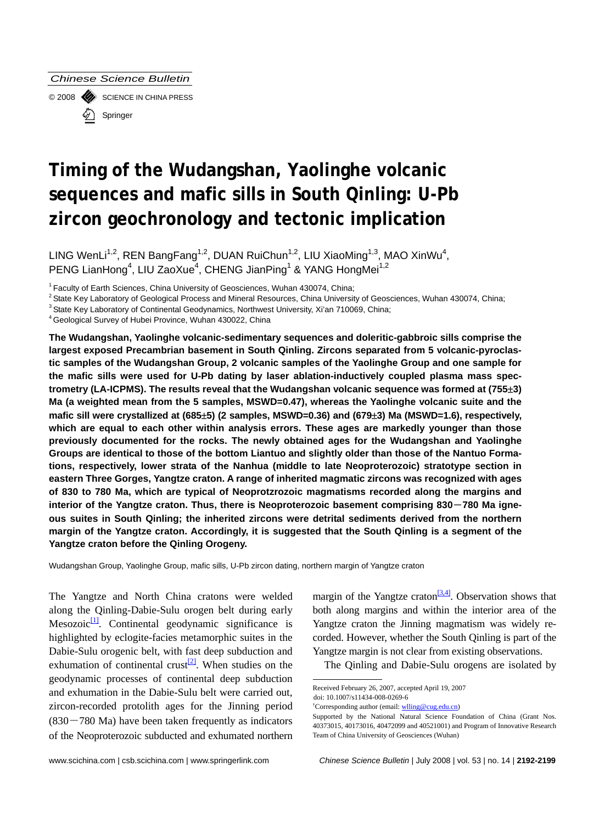*Chinese Science Bulletin* 

© 2008 SCIENCE IN CHINA PRESS Springer

# **Timing of the Wudangshan, Yaolinghe volcanic sequences and mafic sills in South Qinling: U-Pb zircon geochronology and tectonic implication**

LING WenLi<sup>1,2</sup>, REN BangFang<sup>1,2</sup>, DUAN RuiChun<sup>1,2</sup>, LIU XiaoMing<sup>1,3</sup>, MAO XinWu<sup>4</sup>, PENG LianHong<sup>4</sup>, LIU ZaoXue<sup>4</sup>, CHENG JianPing<sup>1</sup> & YANG HongMei<sup>1,2</sup>

<sup>1</sup> Faculty of Earth Sciences, China University of Geosciences, Wuhan 430074, China;<br><sup>2</sup> State Key Laboratory of Geological Process and Mineral Resources, China University of Geosciences, Wuhan 430074, China;<br><sup>3</sup> State Key

**The Wudangshan, Yaolinghe volcanic-sedimentary sequences and doleritic-gabbroic sills comprise the largest exposed Precambrian basement in South Qinling. Zircons separated from 5 volcanic-pyroclastic samples of the Wudangshan Group, 2 volcanic samples of the Yaolinghe Group and one sample for the mafic sills were used for U-Pb dating by laser ablation-inductively coupled plasma mass spectrometry (LA-ICPMS). The results reveal that the Wudangshan volcanic sequence was formed at (755**±**3) Ma (a weighted mean from the 5 samples, MSWD=0.47), whereas the Yaolinghe volcanic suite and the mafic sill were crystallized at (685**±**5) (2 samples, MSWD=0.36) and (679**±**3) Ma (MSWD=1.6), respectively, which are equal to each other within analysis errors. These ages are markedly younger than those previously documented for the rocks. The newly obtained ages for the Wudangshan and Yaolinghe Groups are identical to those of the bottom Liantuo and slightly older than those of the Nantuo Formations, respectively, lower strata of the Nanhua (middle to late Neoproterozoic) stratotype section in eastern Three Gorges, Yangtze craton. A range of inherited magmatic zircons was recognized with ages of 830 to 780 Ma, which are typical of Neoprotzrozoic magmatisms recorded along the margins and interior of the Yangtze craton. Thus, there is Neoproterozoic basement comprising 830**―**780 Ma igneous suites in South Qinling; the inherited zircons were detrital sediments derived from the northern margin of the Yangtze craton. Accordingly, it is suggested that the South Qinling is a segment of the Yangtze craton before the Qinling Orogeny.** 

Wudangshan Group, Yaolinghe Group, mafic sills, U-Pb zircon dating, northern margin of Yangtze craton

The Yangtze and North China cratons were welded along the Qinling-Dabie-Sulu orogen belt during early  $Mesozoic<sup>[1]</sup>$ . Continental geodynamic significance is highlighted by eclogite-facies metamorphic suites in the Dabie-Sulu orogenic belt, with fast deep subduction and exhumation of continental crust<sup>[2]</sup>. When studies on the geodynamic processes of continental deep subduction and exhumation in the Dabie-Sulu belt were carried out, zircon-recorded protolith ages for the Jinning period  $(830 - 780$  Ma) have been taken frequently as indicators of the Neoproterozoic subducted and exhumated northern margin of the Yangtze craton<sup>[3,4]</sup>. Observation shows that both along margins and within the interior area of the Yangtze craton the Jinning magmatism was widely recorded. However, whether the South Qinling is part of the Yangtze margin is not clear from existing observations.

The Qinling and Dabie-Sulu orogens are isolated by

Received February 26, 2007, accepted April 19, 2007

doi: 10.1007/s11434-008-0269-6

<sup>&</sup>lt;sup>†</sup>Corresponding author (email: [wlling@cug.edu.cn](mailto:wlling@cug.edu.cn))

Supported by the National Natural Science Foundation of China (Grant Nos. 40373015, 40173016, 40472099 and 40521001) and Program of Innovative Research Team of China University of Geosciences (Wuhan)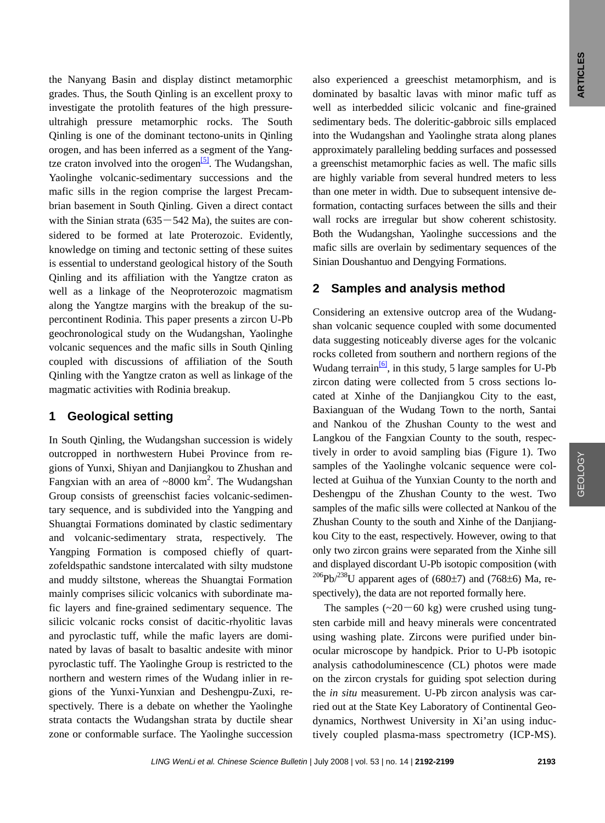the Nanyang Basin and display distinct metamorphic grades. Thus, the South Qinling is an excellent proxy to investigate the protolith features of the high pressureultrahigh pressure metamorphic rocks. The South Qinling is one of the dominant tectono-units in Qinling orogen, and has been inferred as a segment of the Yangtze craton involved into the orogen<sup>[5]</sup>. The Wudangshan, Yaolinghe volcanic-sedimentary successions and the mafic sills in the region comprise the largest Precambrian basement in South Qinling. Given a direct contact with the Sinian strata  $(635-542 \text{ Ma})$ , the suites are considered to be formed at late Proterozoic. Evidently, knowledge on timing and tectonic setting of these suites is essential to understand geological history of the South Qinling and its affiliation with the Yangtze craton as well as a linkage of the Neoproterozoic magmatism along the Yangtze margins with the breakup of the supercontinent Rodinia. This paper presents a zircon U-Pb geochronological study on the Wudangshan, Yaolinghe volcanic sequences and the mafic sills in South Qinling coupled with discussions of affiliation of the South Qinling with the Yangtze craton as well as linkage of the magmatic activities with Rodinia breakup.

# **1 Geological setting**

In South Qinling, the Wudangshan succession is widely outcropped in northwestern Hubei Province from regions of Yunxi, Shiyan and Danjiangkou to Zhushan and Fangxian with an area of  $\sim 8000 \text{ km}^2$ . The Wudangshan Group consists of greenschist facies volcanic-sedimentary sequence, and is subdivided into the Yangping and Shuangtai Formations dominated by clastic sedimentary and volcanic-sedimentary strata, respectively. The Yangping Formation is composed chiefly of quartzofeldspathic sandstone intercalated with silty mudstone and muddy siltstone, whereas the Shuangtai Formation mainly comprises silicic volcanics with subordinate mafic layers and fine-grained sedimentary sequence. The silicic volcanic rocks consist of dacitic-rhyolitic lavas and pyroclastic tuff, while the mafic layers are dominated by lavas of basalt to basaltic andesite with minor pyroclastic tuff. The Yaolinghe Group is restricted to the northern and western rimes of the Wudang inlier in regions of the Yunxi-Yunxian and Deshengpu-Zuxi, respectively. There is a debate on whether the Yaolinghe strata contacts the Wudangshan strata by ductile shear zone or conformable surface. The Yaolinghe succession

also experienced a greeschist metamorphism, and is dominated by basaltic lavas with minor mafic tuff as well as interbedded silicic volcanic and fine-grained sedimentary beds. The doleritic-gabbroic sills emplaced into the Wudangshan and Yaolinghe strata along planes approximately paralleling bedding surfaces and possessed a greenschist metamorphic facies as well. The mafic sills are highly variable from several hundred meters to less than one meter in width. Due to subsequent intensive deformation, contacting surfaces between the sills and their wall rocks are irregular but show coherent schistosity. Both the Wudangshan, Yaolinghe successions and the mafic sills are overlain by sedimentary sequences of the Sinian Doushantuo and Dengying Formations.

# **2 Samples and analysis method**

Considering an extensive outcrop area of the Wudangshan volcanic sequence coupled with some documented data suggesting noticeably diverse ages for the volcanic rocks colleted from southern and northern regions of the Wudang terrain $\frac{6}{6}$ , in this study, 5 large samples for U-Pb zircon dating were collected from 5 cross sections located at Xinhe of the Danjiangkou City to the east, Baxianguan of the Wudang Town to the north, Santai and Nankou of the Zhushan County to the west and Langkou of the Fangxian County to the south, respectively in order to avoid sampling bias (Figure 1). Two samples of the Yaolinghe volcanic sequence were collected at Guihua of the Yunxian County to the north and Deshengpu of the Zhushan County to the west. Two samples of the mafic sills were collected at Nankou of the Zhushan County to the south and Xinhe of the Danjiangkou City to the east, respectively. However, owing to that only two zircon grains were separated from the Xinhe sill and displayed discordant U-Pb isotopic composition (with  $^{206}Pb^{238}U$  apparent ages of (680 $\pm$ 7) and (768 $\pm$ 6) Ma, respectively), the data are not reported formally here.

The samples  $(-20 - 60 \text{ kg})$  were crushed using tungsten carbide mill and heavy minerals were concentrated using washing plate. Zircons were purified under binocular microscope by handpick. Prior to U-Pb isotopic analysis cathodoluminescence (CL) photos were made on the zircon crystals for guiding spot selection during the *in situ* measurement. U-Pb zircon analysis was carried out at the State Key Laboratory of Continental Geodynamics, Northwest University in Xi'an using inductively coupled plasma-mass spectrometry (ICP-MS).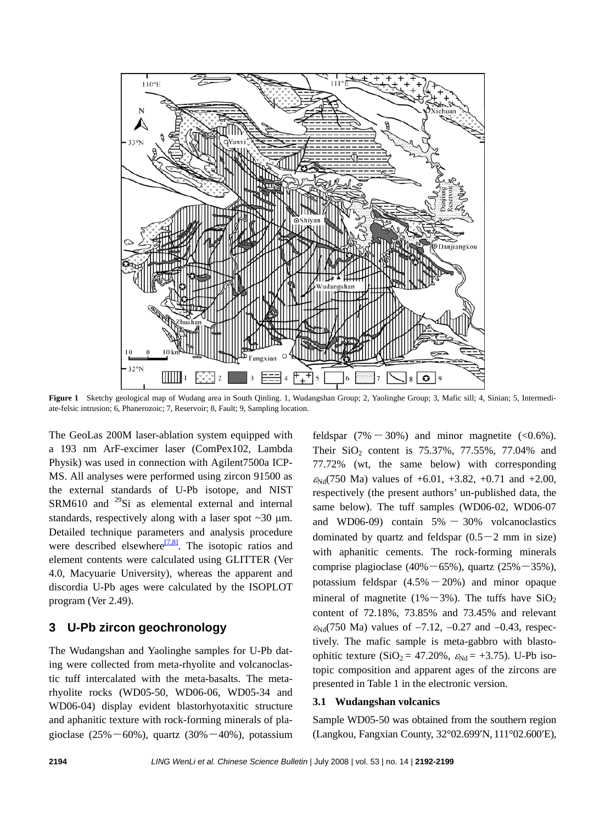

**Figure 1** Sketchy geological map of Wudang area in South Qinling. 1, Wudangshan Group; 2, Yaolinghe Group; 3, Mafic sill; 4, Sinian; 5, Intermediate-felsic intrusion; 6, Phanerozoic; 7, Reservoir; 8, Fault; 9, Sampling location.

The GeoLas 200M laser-ablation system equipped with a 193 nm ArF-excimer laser (ComPex102, Lambda Physik) was used in connection with Agilent7500a ICP-MS. All analyses were performed using zircon 91500 as the external standards of U-Pb isotope, and NIST SRM610 and  $^{29}$ Si as elemental external and internal standards, respectively along with a laser spot ~30 μm. Detailed technique parameters and analysis procedure were described elsewhere $\frac{[7,8]}{[7,8]}$  $\frac{[7,8]}{[7,8]}$  $\frac{[7,8]}{[7,8]}$ . The isotopic ratios and element contents were calculated using GLITTER (Ver 4.0, Macyuarie University), whereas the apparent and discordia U-Pb ages were calculated by the ISOPLOT program (Ver 2.49).

## **3 U-Pb zircon geochronology**

The Wudangshan and Yaolinghe samples for U-Pb dating were collected from meta-rhyolite and volcanoclastic tuff intercalated with the meta-basalts. The metarhyolite rocks (WD05-50, WD06-06, WD05-34 and WD06-04) display evident blastorhyotaxitic structure and aphanitic texture with rock-forming minerals of plagioclase  $(25\% - 60\%)$ , quartz  $(30\% - 40\%)$ , potassium feldspar  $(7\% - 30\%)$  and minor magnetite  $(< 0.6\%)$ . Their  $SiO_2$  content is 75.37%, 77.55%, 77.04% and 77.72% (wt, the same below) with corresponding  $\varepsilon_{Nd}$ (750 Ma) values of +6.01, +3.82, +0.71 and +2.00, respectively (the present authors' un-published data, the same below). The tuff samples (WD06-02, WD06-07 and WD06-09) contain  $5\% - 30\%$  volcanoclastics dominated by quartz and feldspar  $(0.5-2 \text{ mm in size})$ with aphanitic cements. The rock-forming minerals comprise plagioclase  $(40\% - 65\%)$ , quartz  $(25\% - 35\%)$ , potassium feldspar  $(4.5\% - 20\%)$  and minor opaque mineral of magnetite (1%–3%). The tuffs have  $SiO<sub>2</sub>$ content of 72.18%, 73.85% and 73.45% and relevant  $\varepsilon_{Nd}$ (750 Ma) values of -7.12, -0.27 and -0.43, respectively. The mafic sample is meta-gabbro with blastoophitic texture (SiO<sub>2</sub> = 47.20%,  $\varepsilon_{Nd}$  = +3.75). U-Pb isotopic composition and apparent ages of the zircons are presented in Table 1 in the electronic version.

#### **3.1 Wudangshan volcanics**

Sample WD05-50 was obtained from the southern region (Langkou, Fangxian County, 32°02.699′N, 111°02.600′E),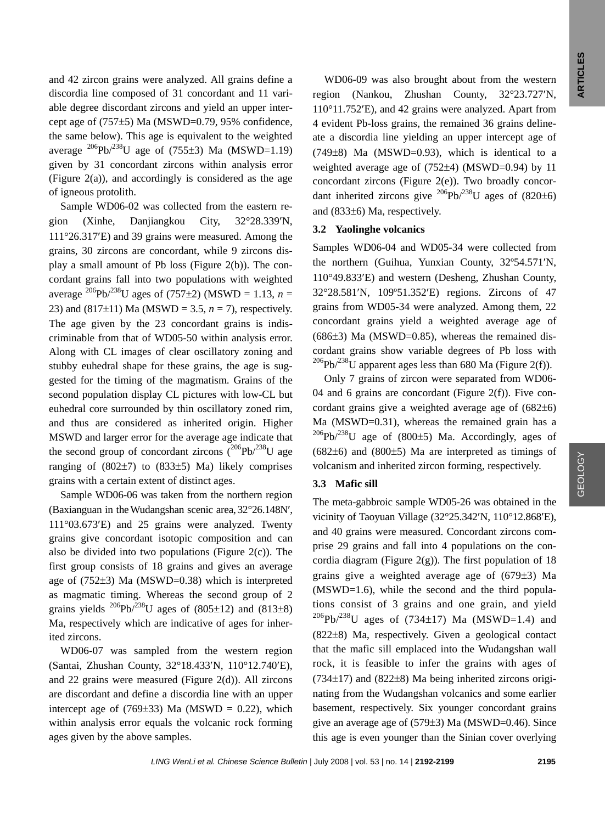and 42 zircon grains were analyzed. All grains define a discordia line composed of 31 concordant and 11 variable degree discordant zircons and yield an upper intercept age of (757±5) Ma (MSWD=0.79, 95% confidence, the same below). This age is equivalent to the weighted average  $^{206}Pb/^{238}U$  age of (755±3) Ma (MSWD=1.19) given by 31 concordant zircons within analysis error (Figure 2(a)), and accordingly is considered as the age of igneous protolith.

Sample WD06-02 was collected from the eastern region (Xinhe, Danjiangkou City, 32°28.339′N, 111°26.317′E) and 39 grains were measured. Among the grains, 30 zircons are concordant, while 9 zircons display a small amount of Pb loss (Figure 2(b)). The concordant grains fall into two populations with weighted average <sup>206</sup>Pb/<sup>238</sup>U ages of (757±2) (MSWD = 1.13, *n* = 23) and  $(817\pm11)$  Ma (MSWD = 3.5,  $n = 7$ ), respectively. The age given by the 23 concordant grains is indiscriminable from that of WD05-50 within analysis error. Along with CL images of clear oscillatory zoning and stubby euhedral shape for these grains, the age is suggested for the timing of the magmatism. Grains of the second population display CL pictures with low-CL but euhedral core surrounded by thin oscillatory zoned rim, and thus are considered as inherited origin. Higher MSWD and larger error for the average age indicate that the second group of concordant zircons  $(^{206}Pb)^{238}U$  age ranging of  $(802\pm7)$  to  $(833\pm5)$  Ma) likely comprises grains with a certain extent of distinct ages.

Sample WD06-06 was taken from the northern region (Baxianguan in theWudangshan scenic area, 32°26.148N′, 111°03.673′E) and 25 grains were analyzed. Twenty grains give concordant isotopic composition and can also be divided into two populations (Figure  $2(c)$ ). The first group consists of 18 grains and gives an average age of (752±3) Ma (MSWD=0.38) which is interpreted as magmatic timing. Whereas the second group of 2 grains yields  $^{206}Pb/^{238}U$  ages of (805±12) and (813±8) Ma, respectively which are indicative of ages for inherited zircons.

WD06-07 was sampled from the western region (Santai, Zhushan County, 32°18.433′N, 110°12.740′E), and 22 grains were measured (Figure 2(d)). All zircons are discordant and define a discordia line with an upper intercept age of  $(769±33)$  Ma (MSWD = 0.22), which within analysis error equals the volcanic rock forming ages given by the above samples.

WD06-09 was also brought about from the western region (Nankou, Zhushan County, 32°23.727′N, 110°11.752′E), and 42 grains were analyzed. Apart from 4 evident Pb-loss grains, the remained 36 grains delineate a discordia line yielding an upper intercept age of  $(749±8)$  Ma (MSWD=0.93), which is identical to a weighted average age of (752±4) (MSWD=0.94) by 11 concordant zircons (Figure 2(e)). Two broadly concordant inherited zircons give  $^{206}Pb^{238}U$  ages of (820±6) and (833±6) Ma, respectively.

#### **3.2 Yaolinghe volcanics**

Samples WD06-04 and WD05-34 were collected from the northern (Guihua, Yunxian County, 32º54.571′N, 110°49.833′E) and western (Desheng, Zhushan County, 32°28.581′N, 109º51.352′E) regions. Zircons of 47 grains from WD05-34 were analyzed. Among them, 22 concordant grains yield a weighted average age of  $(686±3)$  Ma (MSWD=0.85), whereas the remained discordant grains show variable degrees of Pb loss with <sup>206</sup>Pb/<sup>238</sup>U apparent ages less than 680 Ma (Figure 2(f)).

Only 7 grains of zircon were separated from WD06- 04 and 6 grains are concordant (Figure 2(f)). Five concordant grains give a weighted average age of (682±6) Ma (MSWD=0.31), whereas the remained grain has a  $^{206}Pb/^{238}U$  age of (800±5) Ma. Accordingly, ages of  $(682±6)$  and  $(800±5)$  Ma are interpreted as timings of volcanism and inherited zircon forming, respectively.

#### **3.3 Mafic sill**

The meta-gabbroic sample WD05-26 was obtained in the vicinity of Taoyuan Village (32°25.342′N, 110°12.868′E), and 40 grains were measured. Concordant zircons comprise 29 grains and fall into 4 populations on the concordia diagram (Figure 2(g)). The first population of  $18$ grains give a weighted average age of (679±3) Ma (MSWD=1.6), while the second and the third populations consist of 3 grains and one grain, and yield  $^{206}Pb/^{238}U$  ages of (734±17) Ma (MSWD=1.4) and (822±8) Ma, respectively. Given a geological contact that the mafic sill emplaced into the Wudangshan wall rock, it is feasible to infer the grains with ages of  $(734\pm17)$  and  $(822\pm8)$  Ma being inherited zircons originating from the Wudangshan volcanics and some earlier basement, respectively. Six younger concordant grains give an average age of (579±3) Ma (MSWD=0.46). Since this age is even younger than the Sinian cover overlying

GEOLOGY

GEOLOGY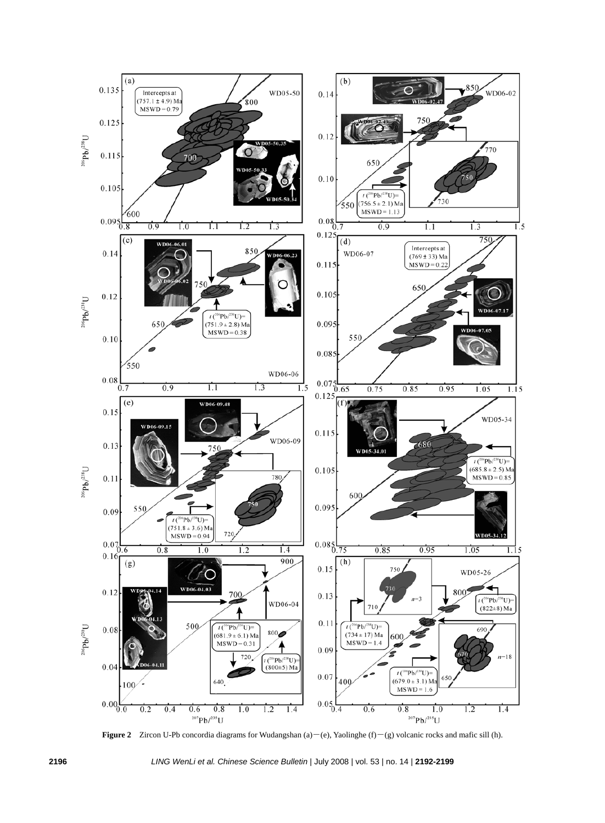

**Figure 2** Zircon U-Pb concordia diagrams for Wudangshan (a)―(e), Yaolinghe (f)―(g) volcanic rocks and mafic sill (h).

**2196** *LING WenLi et al. Chinese Science Bulletin* | July 2008 | vol. 53 | no. 14 | **2192-2199**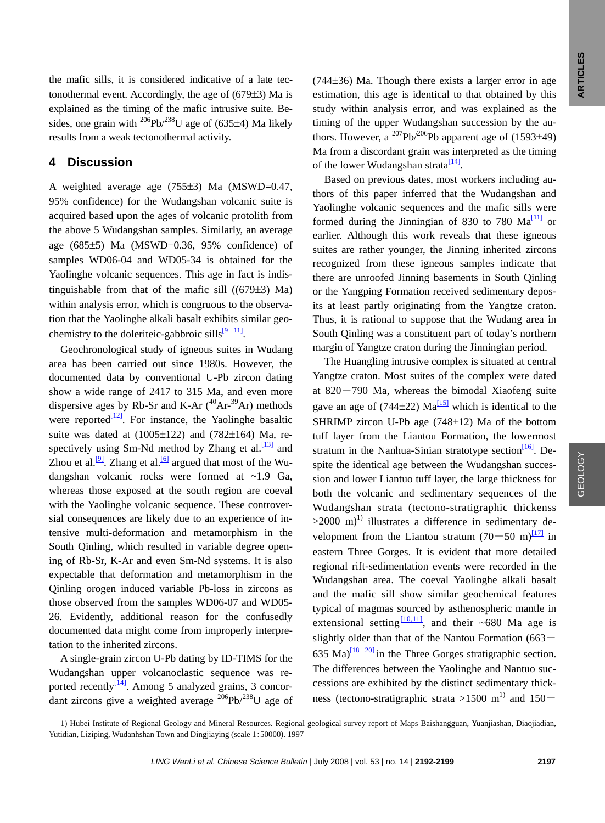the mafic sills, it is considered indicative of a late tectonothermal event. Accordingly, the age of (679±3) Ma is explained as the timing of the mafic intrusive suite. Besides, one grain with <sup>206</sup>Pb/<sup>238</sup>U age of (635 $\pm$ 4) Ma likely results from a weak tectonothermal activity.

### **4 Discussion**

A weighted average age (755±3) Ma (MSWD=0.47, 95% confidence) for the Wudangshan volcanic suite is acquired based upon the ages of volcanic protolith from the above 5 Wudangshan samples. Similarly, an average age (685±5) Ma (MSWD=0.36, 95% confidence) of samples WD06-04 and WD05-34 is obtained for the Yaolinghe volcanic sequences. This age in fact is indistinguishable from that of the mafic sill  $((679±3)$  Ma) within analysis error, which is congruous to the observation that the Yaolinghe alkali basalt exhibits similar geochemistry to the doleriteic-gabbroic sills<sup>[9–11]</sup>.

Geochronological study of igneous suites in Wudang area has been carried out since 1980s. However, the documented data by conventional U-Pb zircon dating show a wide range of 2417 to 315 Ma, and even more dispersive ages by Rb-Sr and K-Ar  $(^{40}Ar^{39}Ar$ ) methods were reported $\frac{12}{2}$ . For instance, the Yaolinghe basaltic suite was dated at  $(1005 \pm 122)$  and  $(782 \pm 164)$  Ma, respectively using Sm-Nd method by Zhang et al. $\frac{13}{13}$  and Zhou et al.<sup>[\[9\]](#page-7-0)</sup>. Zhang et al.<sup>[6]</sup> argued that most of the Wudangshan volcanic rocks were formed at ~1.9 Ga, whereas those exposed at the south region are coeval with the Yaolinghe volcanic sequence. These controversial consequences are likely due to an experience of intensive multi-deformation and metamorphism in the South Qinling, which resulted in variable degree opening of Rb-Sr, K-Ar and even Sm-Nd systems. It is also expectable that deformation and metamorphism in the Qinling orogen induced variable Pb-loss in zircons as those observed from the samples WD06-07 and WD05- 26. Evidently, additional reason for the confusedly documented data might come from improperly interpretation to the inherited zircons.

A single-grain zircon U-Pb dating by ID-TIMS for the Wudangshan upper volcanoclastic sequence was reported recently $\frac{14}{4}$ . Among 5 analyzed grains, 3 concordant zircons give a weighted average  $^{206}Pb/^{238}U$  age of

l

(744±36) Ma. Though there exists a larger error in age estimation, this age is identical to that obtained by this study within analysis error, and was explained as the timing of the upper Wudangshan succession by the authors. However, a  $^{207}Pb^{206}Pb$  apparent age of (1593 $\pm$ 49) Ma from a discordant grain was interpreted as the timing of the lower Wudangshan strata $\frac{14}{14}$ .

Based on previous dates, most workers including authors of this paper inferred that the Wudangshan and Yaolinghe volcanic sequences and the mafic sills were formed during the Jinningian of 830 to 780  $Ma^{\text{[11]}}$  or earlier. Although this work reveals that these igneous suites are rather younger, the Jinning inherited zircons recognized from these igneous samples indicate that there are unroofed Jinning basements in South Qinling or the Yangping Formation received sedimentary deposits at least partly originating from the Yangtze craton. Thus, it is rational to suppose that the Wudang area in South Qinling was a constituent part of today's northern margin of Yangtze craton during the Jinningian period.

The Huangling intrusive complex is situated at central Yangtze craton. Most suites of the complex were dated at  $820 - 790$  Ma, whereas the bimodal Xiaofeng suite gave an age of (744 $\pm$ 22) Ma<sup>[\[15\]](#page-7-0)</sup> which is identical to the SHRIMP zircon U-Pb age (748±12) Ma of the bottom tuff layer from the Liantou Formation, the lowermost stratum in the Nanhua-Sinian stratotype section $\frac{16}{6}$ . Despite the identical age between the Wudangshan succession and lower Liantuo tuff layer, the large thickness for both the volcanic and sedimentary sequences of the Wudangshan strata (tectono-stratigraphic thickenss  $>2000$  m)<sup>1)</sup> illustrates a difference in sedimentary development from the Liantou stratum  $(70-50 \text{ m})$ <sup>[17]</sup> in eastern Three Gorges. It is evident that more detailed regional rift-sedimentation events were recorded in the Wudangshan area. The coeval Yaolinghe alkali basalt and the mafic sill show similar geochemical features typical of magmas sourced by asthenospheric mantle in extensional setting  $\frac{110,111}{100}$ , and their ~680 Ma age is slightly older than that of the Nantou Formation (663― 635 Ma) $\frac{[18-20]}{]}$  in the Three Gorges stratigraphic section. The differences between the Yaolinghe and Nantuo successions are exhibited by the distinct sedimentary thickness (tectono-stratigraphic strata >1500 m<sup>1)</sup> and 150 $-$ 

<sup>1)</sup> Hubei Institute of Regional Geology and Mineral Resources. Regional geological survey report of Maps Baishangguan, Yuanjiashan, Diaojiadian, Yutidian, Liziping, Wudanhshan Town and Dingjiaying (scale 1:50000). 1997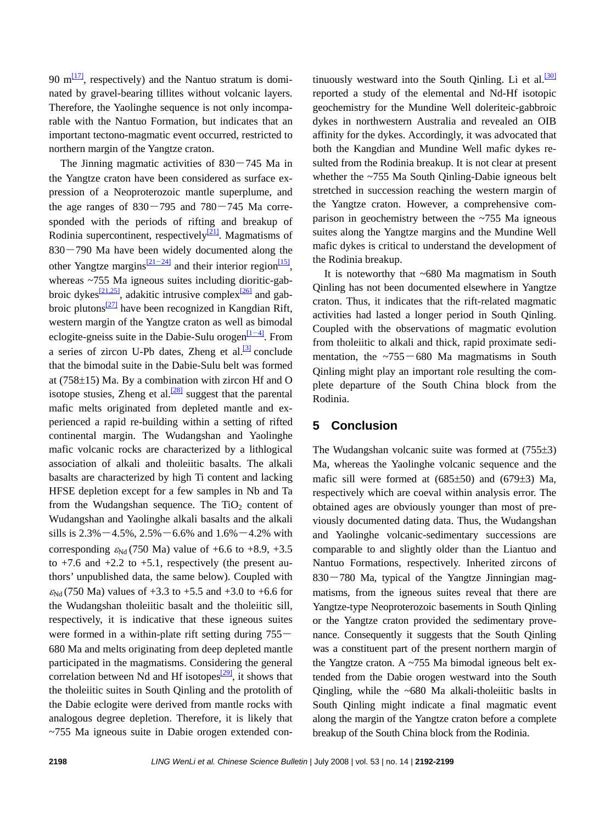90  $m<sup>[17]</sup>$ , respectively) and the Nantuo stratum is dominated by gravel-bearing tillites without volcanic layers. Therefore, the Yaolinghe sequence is not only incomparable with the Nantuo Formation, but indicates that an important tectono-magmatic event occurred, restricted to northern margin of the Yangtze craton.

The Jinning magmatic activities of  $830 - 745$  Ma in the Yangtze craton have been considered as surface expression of a Neoproterozoic mantle superplume, and the age ranges of  $830 - 795$  and  $780 - 745$  Ma corresponded with the periods of rifting and breakup of Rodinia supercontinent, respectively $\frac{[21]}{2}$  $\frac{[21]}{2}$  $\frac{[21]}{2}$ . Magmatisms of  $830 - 790$  Ma have been widely documented along the other Yangtze margins<sup>[\[21](#page-7-0)–24]</sup> and their interior region<sup>[15]</sup>, whereas ~755 Ma igneous suites including dioritic-gabbroic dykes $\frac{[21,25]}{3}$ , adakitic intrusive complex $\frac{[26]}{2}$  and gabbroic plutons $\frac{27}{27}$  have been recognized in Kangdian Rift, western margin of the Yangtze craton as well as bimodal eclogite-gneiss suite in the Dabie-Sulu orogen $\frac{[1-4]}{[1-4]}$ . From a series of zircon U-Pb dates, Zheng et al. $\frac{3}{3}$  conclude that the bimodal suite in the Dabie-Sulu belt was formed at (758±15) Ma. By a combination with zircon Hf and O isotope stusies, Zheng et al. $\frac{[28]}{[28]}$  suggest that the parental mafic melts originated from depleted mantle and experienced a rapid re-building within a setting of rifted continental margin. The Wudangshan and Yaolinghe mafic volcanic rocks are characterized by a lithlogical association of alkali and tholeiitic basalts. The alkali basalts are characterized by high Ti content and lacking HFSE depletion except for a few samples in Nb and Ta from the Wudangshan sequence. The  $TiO<sub>2</sub>$  content of Wudangshan and Yaolinghe alkali basalts and the alkali sills is  $2.3\% - 4.5\%$ ,  $2.5\% - 6.6\%$  and  $1.6\% - 4.2\%$  with corresponding  $\varepsilon_{Nd}$  (750 Ma) value of +6.6 to +8.9, +3.5 to  $+7.6$  and  $+2.2$  to  $+5.1$ , respectively (the present authors' unpublished data, the same below). Coupled with  $\varepsilon_{Nd}$  (750 Ma) values of +3.3 to +5.5 and +3.0 to +6.6 for the Wudangshan tholeiitic basalt and the tholeiitic sill, respectively, it is indicative that these igneous suites were formed in a within-plate rift setting during 755— 680 Ma and melts originating from deep depleted mantle participated in the magmatisms. Considering the general correlation between Nd and Hf isotopes<sup> $[29]$ </sup>, it shows that the tholeiitic suites in South Qinling and the protolith of the Dabie eclogite were derived from mantle rocks with analogous degree depletion. Therefore, it is likely that ~755 Ma igneous suite in Dabie orogen extended continuously westward into the South Qinling. Li et al. $\frac{30}{120}$ reported a study of the elemental and Nd-Hf isotopic geochemistry for the Mundine Well doleriteic-gabbroic dykes in northwestern Australia and revealed an OIB affinity for the dykes. Accordingly, it was advocated that both the Kangdian and Mundine Well mafic dykes resulted from the Rodinia breakup. It is not clear at present whether the ~755 Ma South Qinling-Dabie igneous belt stretched in succession reaching the western margin of the Yangtze craton. However, a comprehensive comparison in geochemistry between the ~755 Ma igneous suites along the Yangtze margins and the Mundine Well mafic dykes is critical to understand the development of the Rodinia breakup.

It is noteworthy that  $~680$  Ma magmatism in South Qinling has not been documented elsewhere in Yangtze craton. Thus, it indicates that the rift-related magmatic activities had lasted a longer period in South Qinling. Coupled with the observations of magmatic evolution from tholeiitic to alkali and thick, rapid proximate sedimentation, the  $\sim 755 - 680$  Ma magmatisms in South Qinling might play an important role resulting the complete departure of the South China block from the Rodinia.

# **5 Conclusion**

The Wudangshan volcanic suite was formed at  $(755\pm3)$ Ma, whereas the Yaolinghe volcanic sequence and the mafic sill were formed at (685±50) and (679±3) Ma, respectively which are coeval within analysis error. The obtained ages are obviously younger than most of previously documented dating data. Thus, the Wudangshan and Yaolinghe volcanic-sedimentary successions are comparable to and slightly older than the Liantuo and Nantuo Formations, respectively. Inherited zircons of  $830 - 780$  Ma, typical of the Yangtze Jinningian magmatisms, from the igneous suites reveal that there are Yangtze-type Neoproterozoic basements in South Qinling or the Yangtze craton provided the sedimentary provenance. Consequently it suggests that the South Qinling was a constituent part of the present northern margin of the Yangtze craton. A  $\sim$ 755 Ma bimodal igneous belt extended from the Dabie orogen westward into the South Qingling, while the ~680 Ma alkali-tholeiitic baslts in South Qinling might indicate a final magmatic event along the margin of the Yangtze craton before a complete breakup of the South China block from the Rodinia.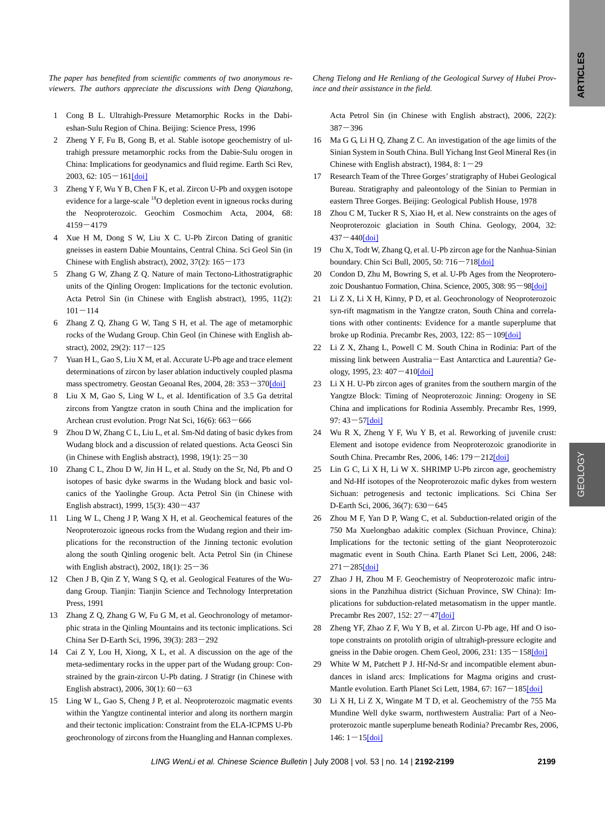GEOLOGY

GEOLOGY

<span id="page-7-0"></span>*The paper has benefited from scientific comments of two anonymous reviewers. The authors appreciate the discussions with Deng Qianzhong,* 

- 1 Cong B L. Ultrahigh-Pressure Metamorphic Rocks in the Dabieshan-Sulu Region of China. Beijing: Science Press, 1996
- 2 Zheng Y F, Fu B, Gong B, et al. Stable isotope geochemistry of ultrahigh pressure metamorphic rocks from the Dabie-Sulu orogen in China: Implications for geodynamics and fluid regime. Earth Sci Rev, 2003, 62:  $105 - 161$ [\[doi\]](http://dx.doi.org/10.1016%2FS0012-8252%2802%2900133-2)
- 3 Zheng Y F, Wu Y B, Chen F K, et al. Zircon U-Pb and oxygen isotope evidence for a large-scale <sup>18</sup>O depletion event in igneous rocks during the Neoproterozoic. Geochim Cosmochim Acta, 2004, 68: 4159―4179
- 4 Xue H M, Dong S W, Liu X C. U-Pb Zircon Dating of granitic gneisses in eastern Dabie Mountains, Central China. Sci Geol Sin (in Chinese with English abstract),  $2002$ ,  $37(2)$ :  $165 - 173$
- 5 Zhang G W, Zhang Z Q. Nature of main Tectono-Lithostratigraphic units of the Qinling Orogen: Implications for the tectonic evolution. Acta Petrol Sin (in Chinese with English abstract), 1995, 11(2):  $101 - 114$
- 6 Zhang Z Q, Zhang G W, Tang S H, et al. The age of metamorphic rocks of the Wudang Group. Chin Geol (in Chinese with English abstract), 2002, 29(2): 117―125
- 7 Yuan H L, Gao S, Liu X M, et al. Accurate U-Pb age and trace element determinations of zircon by laser ablation inductively coupled plasma mass spectrometry. Geostan Geoanal Res, 2004, 28: 353―37[0\[doi\]](http://dx.doi.org/10.1111%2Fj.1751-908X.2004.tb00755.x)
- 8 Liu X M, Gao S, Ling W L, et al. Identification of 3.5 Ga detrital zircons from Yangtze craton in south China and the implication for Archean crust evolution. Progr Nat Sci, 16(6): 663―666
- 9 Zhou D W, Zhang C L, Liu L, et al. Sm-Nd dating of basic dykes from Wudang block and a discussion of related questions. Acta Geosci Sin (in Chinese with English abstract), 1998, 19(1):  $25-30$
- 10 Zhang C L, Zhou D W, Jin H L, et al. Study on the Sr, Nd, Pb and O isotopes of basic dyke swarms in the Wudang block and basic volcanics of the Yaolinghe Group. Acta Petrol Sin (in Chinese with English abstract), 1999, 15(3): 430―437
- 11 Ling W L, Cheng J P, Wang X H, et al. Geochemical features of the Neoproterozoic igneous rocks from the Wudang region and their implications for the reconstruction of the Jinning tectonic evolution along the south Qinling orogenic belt. Acta Petrol Sin (in Chinese with English abstract), 2002, 18(1): 25―36
- 12 Chen J B, Qin Z Y, Wang S Q, et al. Geological Features of the Wudang Group. Tianjin: Tianjin Science and Technology Interpretation Press, 1991
- 13 Zhang Z Q, Zhang G W, Fu G M, et al. Geochronology of metamorphic strata in the Qinling Mountains and its tectonic implications. [Sci](http://e36.cnki.net/KNS50/Navi/Bridge.aspx?LinkType=BaseLink&DBCode=cjfd&TableName=cjfdbaseinfo&Field=BaseID&Value=JDXG&NaviLink=Science+in+China%2cSer.D)  [China Ser D-](http://e36.cnki.net/KNS50/Navi/Bridge.aspx?LinkType=BaseLink&DBCode=cjfd&TableName=cjfdbaseinfo&Field=BaseID&Value=JDXG&NaviLink=Science+in+China%2cSer.D)Earth Sci, 1996, 39(3): 283―292
- 14 Cai Z Y, Lou H, Xiong, X L, et al. A discussion on the age of the meta-sedimentary rocks in the upper part of the Wudang group: Constrained by the grain-zircon U-Pb dating. [J Stratigr](http://e36.cnki.net/KNS50/Navi/Bridge.aspx?LinkType=BaseLink&DBCode=cjfd&TableName=cjfdbaseinfo&Field=BaseID&Value=DCXZ&NaviLink=%e5%9c%b0%e5%b1%82%e5%ad%a6%e6%9d%82%e5%bf%97) (in Chinese with English abstract), 2006, 30(1): 60―63
- 15 Ling W L, Gao S, Cheng J P, et al. Neoproterozoic magmatic events within the Yangtze continental interior and along its northern margin and their tectonic implication: Constraint from the ELA-ICPMS U-Pb geochronology of zircons from the Huangling and Hannan complexes.

*Cheng Tielong and He Renliang of the Geological Survey of Hubei Province and their assistance in the field.* 

Acta Petrol Sin (in Chinese with English abstract), 2006, 22(2): 387―396

- 16 Ma G G, Li H Q, Zhang Z C. An investigation of the age limits of the Sinian System in South China. Bull Yichang Inst Geol Mineral Res (in Chinese with English abstract), 1984, 8:  $1-29$
- 17 Research Team of the Three Gorges' stratigraphy of Hubei Geological Bureau. Stratigraphy and paleontology of the Sinian to Permian in eastern Three Gorges. Beijing: Geological Publish House, 1978
- 18 Zhou C M, Tucker R S, Xiao H, et al. New constraints on the ages of Neoproterozoic glaciation in South China. Geology, 2004, 32:  $437 - 440$ [\[doi\]](http://dx.doi.org/10.1130%2FG20286.1)
- 19 Chu X, Todt W, Zhang Q, et al. U-Pb zircon age for the Nanhua-Sinian boundary. Chin Sci Bull, 2005, 50: 716―71[8\[doi\]](http://dx.doi.org/10.1360%2F982005-155)
- 20 Condon D, Zhu M, Bowring S, et al. U-Pb Ages from the Neoproterozoic Doushantuo Formation, China. Science, 2005, 308: 95―9[8\[doi\]](http://dx.doi.org/10.1126%2Fscience.1107765)
- 21 Li Z X, Li X H, Kinny, P D, et al. Geochronology of Neoproterozoic syn-rift magmatism in the Yangtze craton, South China and correlations with other continents: Evidence for a mantle superplume that broke up Rodinia. Precambr Res, 2003, 122:  $85 - 109$ [\[doi\]](http://dx.doi.org/10.1016%2FS0301-9268%2802%2900208-5)
- 22 Li Z X, Zhang L, Powell C M. South China in Rodinia: Part of the missing link between Australia―East Antarctica and Laurentia? Geology, 1995, 23: 407―410[\[doi\]](http://dx.doi.org/10.1130%2F0091-7613%281995%29023%3C0407%3ASCIRPO%3E2.3.CO%3B2)
- 23 Li X H. U-Pb zircon ages of granites from the southern margin of the Yangtze Block: Timing of Neoproterozoic Jinning: Orogeny in SE China and implications for Rodinia Assembly. Precambr Res, 1999, 97: 43―57[\[doi\]](http://dx.doi.org/10.1016%2FS0301-9268%2899%2900020-0)
- 24 Wu R X, Zheng Y F, Wu Y B, et al. Reworking of juvenile crust: Element and isotope evidence from Neoproterozoic granodiorite in South China. Precambr Res, 2006, 146: 179―21[2\[doi\]](http://dx.doi.org/10.1016%2Fj.precamres.2006.01.012)
- 25 Lin G C, Li X H, Li W X. SHRIMP U-Pb zircon age, geochemistry and Nd-Hf isotopes of the Neoproterozoic mafic dykes from western Sichuan: petrogenesis and tectonic implications. Sci China Ser D-Earth Sci, 2006, 36(7): 630―645
- 26 Zhou M F, Yan D P, Wang C, et al. Subduction-related origin of the 750 Ma Xuelongbao adakitic complex (Sichuan Province, China): Implications for the tectonic setting of the giant Neoproterozoic magmatic event in South China. Earth Planet Sci Lett, 2006, 248:  $271 - 285$ [\[doi\]](http://dx.doi.org/10.1016%2Fj.epsl.2006.05.032)
- 27 Zhao J H, Zhou M F. Geochemistry of Neoproterozoic mafic intrusions in the Panzhihua district (Sichuan Province, SW China): Implications for subduction-related metasomatism in the upper mantle. Precambr Res 2007, 152: 27―4[7\[doi\]](http://dx.doi.org/10.1016%2Fj.precamres.2006.09.002)
- 28 Zheng YF, Zhao Z F, Wu Y B, et al. Zircon U-Pb age, Hf and O isotope constraints on protolith origin of ultrahigh-pressure eclogite and gneiss in the Dabie orogen. Chem Geol, 2006, 231: 135 - 158[\[doi\]](http://dx.doi.org/10.1016%2Fj.chemgeo.2006.01.005)
- 29 White W M, Patchett P J. Hf-Nd-Sr and incompatible element abundances in island arcs: Implications for Magma origins and crust-Mantle evolution. Earth Planet Sci Lett, 1984, 67: 167-18[5\[doi\]](http://dx.doi.org/10.1016%2F0012-821X%2884%2990112-2)
- 30 Li X H, Li Z X, Wingate M T D, et al. Geochemistry of the 755 Ma Mundine Well dyke swarm, northwestern Australia: Part of a Neoproterozoic mantle superplume beneath Rodinia? Precambr Res, 2006,  $146: 1 - 15$ [\[doi\]](http://dx.doi.org/10.1016%2Fj.precamres.2005.12.007)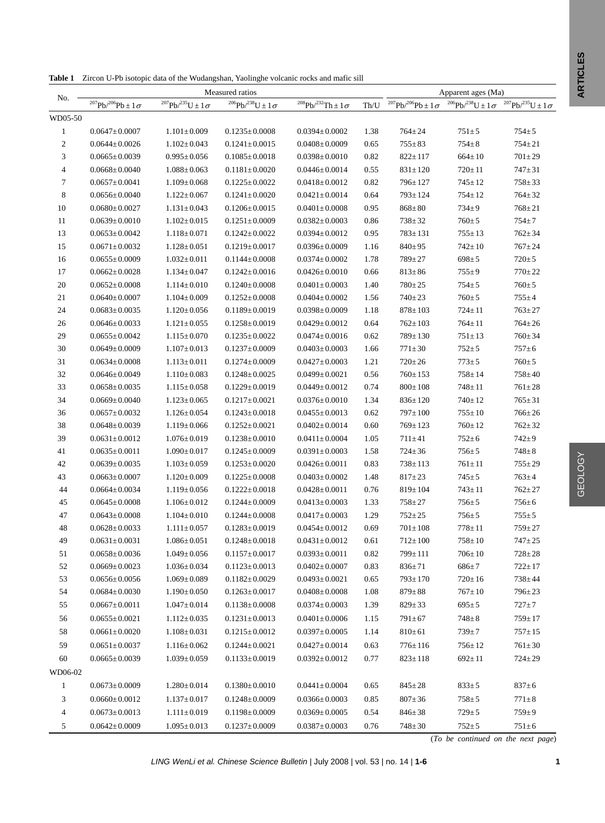**Table 1** Zircon U-Pb isotopic data of the Wudangshan, Yaolinghe volcanic rocks and mafic sill

|                |                                                   | Apparent ages (Ma)             |                                  |                                                   |      |                                                   |                                                  |                                |
|----------------|---------------------------------------------------|--------------------------------|----------------------------------|---------------------------------------------------|------|---------------------------------------------------|--------------------------------------------------|--------------------------------|
| No.            | $^{207}\text{Pb} / ^{206}\text{Pb} \pm 1\,\sigma$ | $^{207}Pb/^{235}U \pm 1\sigma$ | $^{206}Pb/^{238}U \pm 1\,\sigma$ | $^{208}\text{Pb} / ^{232}\text{Th} \pm 1\,\sigma$ | Th/U | $^{207}\text{Pb} / ^{206}\text{Pb} \pm 1\,\sigma$ | $^{206}\text{Pb} / ^{238}\text{U} \pm 1\,\sigma$ | $^{207}Pb/^{235}U \pm 1\sigma$ |
| WD05-50        |                                                   |                                |                                  |                                                   |      |                                                   |                                                  |                                |
| $\mathbf{1}$   | $0.0647 \pm 0.0007$                               | $1.101 \pm 0.009$              | $0.1235 \pm 0.0008$              | $0.0394 \pm 0.0002$                               | 1.38 | $764 \pm 24$                                      | $751 \pm 5$                                      | $754 \pm 5$                    |
| $\overline{c}$ | $0.0644 \pm 0.0026$                               | $1.102 \pm 0.043$              | $0.1241 \pm 0.0015$              | $0.0408 \pm 0.0009$                               | 0.65 | $755 \pm 83$                                      | $754 \pm 8$                                      | $754 \pm 21$                   |
| 3              | $0.0665 \pm 0.0039$                               | $0.995 \pm 0.056$              | $0.1085 \pm 0.0018$              | $0.0398 \pm 0.0010$                               | 0.82 | $822 \pm 117$                                     | $664 \pm 10$                                     | $701 \pm 29$                   |
| 4              | $0.0668 \pm 0.0040$                               | $1.088 \pm 0.063$              | $0.1181 \pm 0.0020$              | $0.0446 \pm 0.0014$                               | 0.55 | $831 \pm 120$                                     | $720 \pm 11$                                     | $747 \pm 31$                   |
| 7              | $0.0657 \pm 0.0041$                               | $1.109 \pm 0.068$              | $0.1225 \pm 0.0022$              | $0.0418 \pm 0.0012$                               | 0.82 | $796 \pm 127$                                     | $745 \pm 12$                                     | $758 \pm 33$                   |
| 8              | $0.0656 \pm 0.0040$                               | $1.122 \pm 0.067$              | $0.1241 \pm 0.0020$              | $0.0421 \pm 0.0014$                               | 0.64 | $793 \pm 124$                                     | $754 \pm 12$                                     | $764 \pm 32$                   |
| 10             | $0.0680 \pm 0.0027$                               | $1.131 \pm 0.043$              | $0.1206 \pm 0.0015$              | $0.0401 \pm 0.0008$                               | 0.95 | $868 \pm 80$                                      | $734 \pm 9$                                      | $768 \pm 21$                   |
| 11             | $0.0639 \pm 0.0010$                               | $1.102 \pm 0.015$              | $0.1251 \pm 0.0009$              | $0.0382 \pm 0.0003$                               | 0.86 | $738 \pm 32$                                      | $760 \pm 5$                                      | $754 \pm 7$                    |
| 13             | $0.0653 \pm 0.0042$                               | $1.118 \pm 0.071$              | $0.1242 \pm 0.0022$              | $0.0394 \pm 0.0012$                               | 0.95 | $783 \pm 131$                                     | $755 \pm 13$                                     | $762 \pm 34$                   |
| 15             | $0.0671 \pm 0.0032$                               | $1.128 \pm 0.051$              | $0.1219 \pm 0.0017$              | $0.0396 \pm 0.0009$                               | 1.16 | $840 \pm 95$                                      | $742 \pm 10$                                     | $767 \pm 24$                   |
| 16             | $0.0655 \pm 0.0009$                               | $1.032 \pm 0.011$              | $0.1144 \pm 0.0008$              | $0.0374 \pm 0.0002$                               | 1.78 | $789 \pm 27$                                      | $698 \pm 5$                                      | $720 \pm 5$                    |
| 17             | $0.0662 \pm 0.0028$                               | $1.134 \pm 0.047$              | $0.1242 \pm 0.0016$              | $0.0426 \pm 0.0010$                               | 0.66 | $813 \pm 86$                                      | $755 \pm 9$                                      | $770 \pm 22$                   |
| 20             | $0.0652 \pm 0.0008$                               | $1.114 \pm 0.010$              | $0.1240 \pm 0.0008$              | $0.0401 \pm 0.0003$                               | 1.40 | $780 \pm 25$                                      | $754 \pm 5$                                      | $760 \pm 5$                    |
| 21             | $0.0640 \pm 0.0007$                               | $1.104 \pm 0.009$              | $0.1252 \pm 0.0008$              | $0.0404 \pm 0.0002$                               | 1.56 | $740 \pm 23$                                      | $760 \pm 5$                                      | $755 \pm 4$                    |
| 24             | $0.0683 \pm 0.0035$                               | $1.120 \pm 0.056$              | $0.1189 \pm 0.0019$              | $0.0398 \pm 0.0009$                               | 1.18 | $878 \pm 103$                                     | $724 \pm 11$                                     | $763 \pm 27$                   |
| 26             | $0.0646 \pm 0.0033$                               | $1.121 \pm 0.055$              | $0.1258 \pm 0.0019$              | $0.0429 \pm 0.0012$                               | 0.64 | $762 \pm 103$                                     | $764 \pm 11$                                     | $764 \pm 26$                   |
| 29             | $0.0655 \pm 0.0042$                               | $1.115 \pm 0.070$              | $0.1235 \pm 0.0022$              | $0.0474 \pm 0.0016$                               | 0.62 | $789 \pm 130$                                     | $751 \pm 13$                                     | $760 \pm 34$                   |
| 30             | $0.0649 \pm 0.0009$                               | $1.107 \pm 0.013$              | $0.1237 \pm 0.0009$              | $0.0403 \pm 0.0003$                               | 1.66 | $771 \pm 30$                                      | $752 \pm 5$                                      | $757 \pm 6$                    |
| 31             | $0.0634 \pm 0.0008$                               | $1.113 \pm 0.011$              | $0.1274 \pm 0.0009$              | $0.0427 \pm 0.0003$                               | 1.21 | $720 \pm 26$                                      | $773 \pm 5$                                      | $760 \pm 5$                    |
| 32             | $0.0646 \pm 0.0049$                               | $1.110 \pm 0.083$              | $0.1248 \pm 0.0025$              | $0.0499 \pm 0.0021$                               | 0.56 | $760 \pm 153$                                     | $758 \pm 14$                                     | $758 \pm 40$                   |
| 33             | $0.0658 \pm 0.0035$                               | $1.115 \pm 0.058$              | $0.1229 \pm 0.0019$              | $0.0449 \pm 0.0012$                               | 0.74 | $800 \pm 108$                                     | $748 + 11$                                       | $761 \pm 28$                   |
| 34             | $0.0669 \pm 0.0040$                               | $1.123 \pm 0.065$              | $0.1217 \pm 0.0021$              | $0.0376 \pm 0.0010$                               | 1.34 | $836 \pm 120$                                     | $740 \pm 12$                                     | $765 \pm 31$                   |
| 36             | $0.0657 \pm 0.0032$                               | $1.126 \pm 0.054$              | $0.1243 \pm 0.0018$              | $0.0455 \pm 0.0013$                               | 0.62 | $797 \pm 100$                                     | $755 \pm 10$                                     | $766 \pm 26$                   |
| 38             | $0.0648 \pm 0.0039$                               | $1.119 \pm 0.066$              | $0.1252 \pm 0.0021$              | $0.0402 \pm 0.0014$                               | 0.60 | $769 \pm 123$                                     | $760 \pm 12$                                     | $762 \pm 32$                   |
| 39             | $0.0631 \pm 0.0012$                               | $1.076 \pm 0.019$              | $0.1238 \pm 0.0010$              | $0.0411 \pm 0.0004$                               | 1.05 | $711 \pm 41$                                      | $752 \pm 6$                                      | $742 \pm 9$                    |
| 41             | $0.0635 \pm 0.0011$                               | $1.090 \pm 0.017$              | $0.1245 \pm 0.0009$              | $0.0391 \pm 0.0003$                               | 1.58 | $724 \pm 36$                                      | $756 \pm 5$                                      | $748 \pm 8$                    |
| 42             | $0.0639 \pm 0.0035$                               | $1.103 \pm 0.059$              | $0.1253 \pm 0.0020$              | $0.0426 \pm 0.0011$                               | 0.83 | $738 \pm 113$                                     | $761 \pm 11$                                     | $755 \pm 29$                   |
| 43             | $0.0663 \pm 0.0007$                               | $1.120 \pm 0.009$              | $0.1225 \pm 0.0008$              | $0.0403 \pm 0.0002$                               | 1.48 | $817 \pm 23$                                      | $745 \pm 5$                                      | $763 \pm 4$                    |
| 44             | $0.0664 \pm 0.0034$                               | $1.119 \pm 0.056$              | $0.1222 \pm 0.0018$              | $0.0428 \pm 0.0011$                               | 0.76 | $819 \pm 104$                                     | $743 \pm 11$                                     | $762 \pm 27$                   |
| 45             | $0.0645 \pm 0.0008$                               | $1.106 \pm 0.012$              | $0.1244 \pm 0.0009$              | $0.0413 \pm 0.0003$                               | 1.33 | $758 \pm 27$                                      | $756 \pm 5$                                      | $756 \pm 6$                    |
| 47             | $0.0643 \pm 0.0008$                               | $1.104 \pm 0.010$              | $0.1244 \pm 0.0008$              | $0.0417 \pm 0.0003$                               | 1.29 | $752 \pm 25$                                      | $756 \pm 5$                                      | $755 \pm 5$                    |
| 48             | $0.0628 \pm 0.0033$                               | $1.111 \pm 0.057$              | $0.1283 \pm 0.0019$              | $0.0454 \pm 0.0012$                               | 0.69 | $701 \pm 108$                                     | $778 \pm 11$                                     | $759 \pm 27$                   |
| 49             | $0.0631 \pm 0.0031$                               | $1.086 \pm 0.051$              | $0.1248 \pm 0.0018$              | $0.0431 \pm 0.0012$                               | 0.61 | $712 \pm 100$                                     | $758 \pm 10$                                     | $747 + 25$                     |
| 51             | $0.0658 \pm 0.0036$                               | $1.049 \pm 0.056$              | $0.1157 \pm 0.0017$              | $0.0393 \pm 0.0011$                               | 0.82 | $799 \pm 111$                                     | $706 \pm 10$                                     | $728 \pm 28$                   |
| 52             | $0.0669 \pm 0.0023$                               | $1.036 \pm 0.034$              | $0.1123 \pm 0.0013$              | $0.0402 \pm 0.0007$                               | 0.83 | $836 \pm 71$                                      | $686 \pm 7$                                      | $722 \pm 17$                   |
| 53             | $0.0656 \pm 0.0056$                               | $1.069 \pm 0.089$              | $0.1182 \pm 0.0029$              | $0.0493 \pm 0.0021$                               | 0.65 | $793 \pm 170$                                     | $720 \pm 16$                                     | $738 \pm 44$                   |
| 54             | $0.0684 {\pm} 0.0030$                             | $1.190 \pm 0.050$              | $0.1263 \pm 0.0017$              | $0.0408 \pm 0.0008$                               | 1.08 | $879 \pm 88$                                      | $767 \pm 10$                                     | $796 \pm 23$                   |
| 55             | $0.0667 \pm 0.0011$                               | $1.047 \pm 0.014$              | $0.1138 \pm 0.0008$              | $0.0374 \pm 0.0003$                               | 1.39 | $829 \pm 33$                                      | $695 \pm 5$                                      | $727 + 7$                      |
| 56             | $0.0655 \pm 0.0021$                               | $1.112 \pm 0.035$              | $0.1231 \pm 0.0013$              | $0.0401 \pm 0.0006$                               | 1.15 | $791 \pm 67$                                      | $748 \pm 8$                                      | $759 \pm 17$                   |
| 58             | $0.0661 \pm 0.0020$                               | $1.108 \pm 0.031$              | $0.1215 \pm 0.0012$              | $0.0397 \pm 0.0005$                               | 1.14 | $810 \pm 61$                                      | $739 + 7$                                        | $757 \pm 15$                   |
| 59             | $0.0651 \pm 0.0037$                               | $1.116 \pm 0.062$              | $0.1244 \pm 0.0021$              | $0.0427 \pm 0.0014$                               | 0.63 | $776 \pm 116$                                     | $756 \pm 12$                                     | $761 \pm 30$                   |
| 60             | $0.0665 \pm 0.0039$                               | $1.039 \pm 0.059$              | $0.1133 \pm 0.0019$              | $0.0392 \pm 0.0012$                               | 0.77 | $823 \pm 118$                                     | $692 \pm 11$                                     | $724 \pm 29$                   |
| WD06-02        |                                                   |                                |                                  |                                                   |      |                                                   |                                                  |                                |
| $\mathbf{1}$   | $0.0673 \pm 0.0009$                               | $1.280 \pm 0.014$              | $0.1380 \pm 0.0010$              | $0.0441 \pm 0.0004$                               | 0.65 | $845 \pm 28$                                      | $833 \pm 5$                                      | $837 \pm 6$                    |
| 3              | $0.0660 \pm 0.0012$                               | $1.137 \pm 0.017$              | $0.1248 \pm 0.0009$              | $0.0366 \pm 0.0003$                               | 0.85 | $807 \pm 36$                                      | $758 \pm 5$                                      | $771 \pm 8$                    |
| 4              | $0.0673 \pm 0.0013$                               | $1.111 \pm 0.019$              | $0.1198 \pm 0.0009$              | $0.0369 \pm 0.0005$                               | 0.54 | $846 \pm 38$                                      | $729 \pm 5$                                      | $759 \pm 9$                    |
| 5              | $0.0642 \pm 0.0009$                               | $1.095 \pm 0.013$              | $0.1237 \pm 0.0009$              | $0.0387 \pm 0.0003$                               | 0.76 | $748 \pm 30$                                      | $752 \pm 5$                                      | $751 \pm 6$                    |
|                |                                                   |                                |                                  |                                                   |      |                                                   |                                                  |                                |

(*To be continued on the next page*)

GEOLOGY

**GEOLOGY**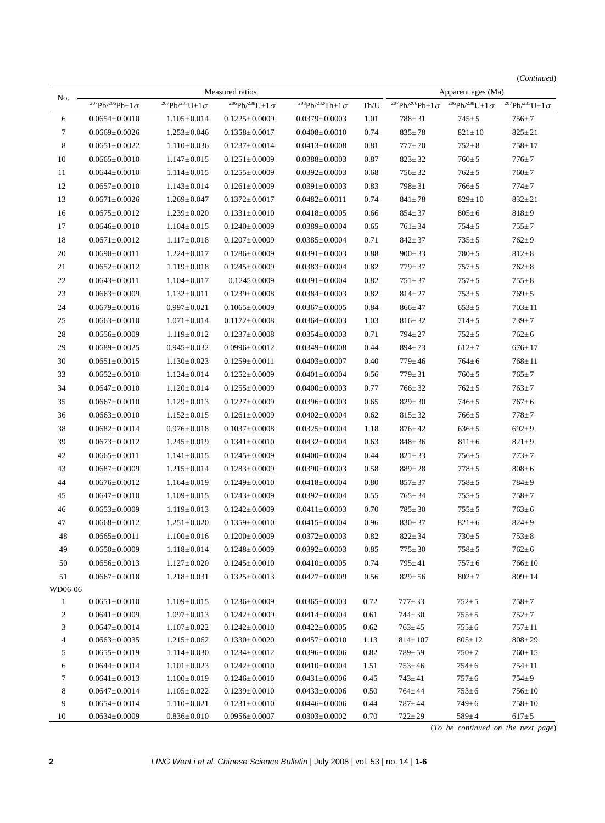|                          |                                            |                                        |                                            |                                                   |              |                                 |                                 | (Continued)                                      |
|--------------------------|--------------------------------------------|----------------------------------------|--------------------------------------------|---------------------------------------------------|--------------|---------------------------------|---------------------------------|--------------------------------------------------|
| No.                      |                                            |                                        | Measured ratios                            |                                                   |              |                                 | Apparent ages (Ma)              |                                                  |
|                          | $^{207}Pb/^{206}Pb \pm 1\sigma$            | $^{207}Pb/^{235}U\pm1\sigma$           | $^{206}Pb/^{238}U\pm1\sigma$               | $^{208}\text{Pb} / ^{232}\text{Th} \pm 1\,\sigma$ | $\rm Th/U$   | $^{207}Pb/^{206}Pb \pm 1\sigma$ | $^{206}Pb/^{238}U\pm 1\,\sigma$ | $^{207}{\rm Pb} / ^{235}{\rm U} {\pm 1\,\sigma}$ |
| 6                        | $0.0654 \pm 0.0010$                        | $1.105 \pm 0.014$                      | $0.1225 \pm 0.0009$                        | $0.0379 \pm 0.0003$                               | 1.01         | $788 \pm 31$                    | $745 \pm 5$                     | $756 \pm 7$                                      |
| 7                        | $0.0669 \pm 0.0026$                        | $1.253 \pm 0.046$                      | $0.1358 \pm 0.0017$                        | $0.0408 \pm 0.0010$                               | 0.74         | $835 \pm 78$                    | $821 \pm 10$                    | $825 \pm 21$                                     |
| $\,$ 8 $\,$              | $0.0651 \pm 0.0022$                        | $1.110 \pm 0.036$                      | $0.1237 \pm 0.0014$                        | $0.0413 \pm 0.0008$                               | 0.81         | $777 \pm 70$                    | $752 \pm 8$                     | $758 \pm 17$                                     |
| 10                       | $0.0665 \pm 0.0010$                        | $1.147 \pm 0.015$                      | $0.1251 \pm 0.0009$                        | $0.0388 \pm 0.0003$                               | 0.87         | $823 \pm 32$                    | $760 \pm 5$                     | $776 \pm 7$                                      |
| 11                       | $0.0644 \pm 0.0010$                        | $1.114 \pm 0.015$                      | $0.1255 \pm 0.0009$                        | $0.0392 \pm 0.0003$                               | 0.68         | $756 \pm 32$                    | $762 \pm 5$                     | $760 \pm 7$                                      |
| 12                       | $0.0657 \pm 0.0010$                        | $1.143 \pm 0.014$                      | $0.1261 \pm 0.0009$                        | $0.0391 \pm 0.0003$                               | 0.83         | $798 \pm 31$                    | $766 \pm 5$                     | $774 + 7$                                        |
| 13                       | $0.0671 \pm 0.0026$                        | $1.269 \pm 0.047$                      | $0.1372 \pm 0.0017$                        | $0.0482 \pm 0.0011$                               | 0.74         | $841 \pm 78$                    | $829 \pm 10$                    | $832 \pm 21$                                     |
| 16                       | $0.0675 \pm 0.0012$                        | $1.239\!\pm\!0.020$                    | $0.1331 \pm 0.0010$                        | $0.0418 \pm 0.0005$                               | 0.66         | $854 \pm 37$                    | $805 \pm 6$                     | $818 \pm 9$                                      |
| 17                       | $0.0646 \pm 0.0010$                        | $1.104 \pm 0.015$                      | $0.1240 \pm 0.0009$                        | $0.0389 \pm 0.0004$                               | 0.65         | $761 \pm 34$                    | $754 \pm 5$                     | $755 \pm 7$                                      |
| 18                       | $0.0671 \pm 0.0012$                        | $1.117 \pm 0.018$                      | $0.1207 \pm 0.0009$                        | $0.0385 \pm 0.0004$                               | 0.71         | $842 \pm 37$                    | $735 \pm 5$                     | $762 + 9$                                        |
| 20                       | $0.0690 \pm 0.0011$                        | $1.224 \pm 0.017$                      | $0.1286 \pm 0.0009$                        | $0.0391 \pm 0.0003$                               | 0.88         | $900 \pm 33$                    | $780 \pm 5$                     | $812 \pm 8$                                      |
| 21                       | $0.0652 \pm 0.0012$                        | $1.119 \pm 0.018$                      | $0.1245 \pm 0.0009$                        | $0.0383 \pm 0.0004$                               | 0.82         | $779 \pm 37$                    | $757 + 5$                       | $762 \pm 8$                                      |
| 22                       | $0.0643 \pm 0.0011$                        | $1.104 \pm 0.017$                      | 0.12450.0009                               | $0.0391 \pm 0.0004$                               | 0.82         | $751 \pm 37$                    | $757 + 5$                       | $755 \pm 8$                                      |
| 23                       | $0.0663 \pm 0.0009$                        | $1.132 \pm 0.011$                      | $0.1239 \pm 0.0008$                        | $0.0384 \pm 0.0003$                               | 0.82         | $814 \pm 27$                    | $753 \pm 5$                     | $769 \pm 5$                                      |
| 24                       | $0.0679 \pm 0.0016$                        | $0.997 \pm 0.021$                      | $0.1065 \pm 0.0009$                        | $0.0367 \pm 0.0005$                               | 0.84         | $866 \pm 47$                    | $653 \pm 5$                     | $703 \pm 11$                                     |
| 25                       | $0.0663 \pm 0.0010$                        | $1.071 \pm 0.014$                      | $0.1172 \pm 0.0008$                        | $0.0364 \pm 0.0003$                               | 1.03         | $816 \pm 32$                    | $714 \pm 5$                     | $739 + 7$                                        |
| $28\,$                   | $0.0656 \pm 0.0009$                        | $1.119 \pm 0.012$                      | $0.1237 \pm 0.0008$                        | $0.0354 \pm 0.0003$                               | 0.71         | $794 \pm 27$                    | $752 \pm 5$                     | $762 \pm 6$                                      |
| 29                       | $0.0689 \pm 0.0025$                        | $0.945 \pm 0.032$                      | $0.0996 \pm 0.0012$                        | $0.0349 \pm 0.0008$                               | 0.44         | $894 \pm 73$                    | $612 + 7$                       | $676 \pm 17$                                     |
| 30                       | $0.0651 \pm 0.0015$                        | $1.130 \pm 0.023$                      | $0.1259 \pm 0.0011$                        | $0.0403 \pm 0.0007$                               | 0.40         | $779 \pm 46$                    | $764 \pm 6$                     | $768 \pm 11$                                     |
| 33                       | $0.0652 \pm 0.0010$                        | $1.124 \pm 0.014$                      | $0.1252 \pm 0.0009$                        | $0.0401 \pm 0.0004$                               | 0.56         | $779 \pm 31$                    | $760 \pm 5$                     | $765 \pm 7$                                      |
| 34                       | $0.0647 \pm 0.0010$                        | $1.120 \pm 0.014$                      | $0.1255 \pm 0.0009$                        | $0.0400 \pm 0.0003$                               | 0.77         | $766 \pm 32$                    | $762 \pm 5$                     | $763 \pm 7$                                      |
| 35                       | $0.0667 \pm 0.0010$                        | $1.129 \pm 0.013$                      | $0.1227 \pm 0.0009$                        | $0.0396 \pm 0.0003$                               | 0.65         | $829 \pm 30$                    | $746 \pm 5$                     | $767 + 6$                                        |
| 36                       | $0.0663 \pm 0.0010$                        | $1.152 \pm 0.015$                      | $0.1261 \pm 0.0009$                        | $0.0402 \pm 0.0004$                               | 0.62         | $815 \pm 32$                    | $766 \pm 5$                     | $778 + 7$                                        |
| 38                       | $0.0682 \pm 0.0014$                        | $0.976 \pm 0.018$                      | $0.1037 \pm 0.0008$                        | $0.0325 \pm 0.0004$                               | 1.18         | $876 \pm 42$                    | $636 \pm 5$                     | $692 \pm 9$                                      |
| 39                       | $0.0673 \pm 0.0012$                        | $1.245 \pm 0.019$                      | $0.1341 \pm 0.0010$                        | $0.0432 \pm 0.0004$                               | 0.63         | $848 \pm 36$                    | $811 \pm 6$                     | $821 \pm 9$                                      |
| 42                       | $0.0665 \pm 0.0011$                        | $1.141 \pm 0.015$                      | $0.1245 \pm 0.0009$                        | $0.0400 \pm 0.0004$                               | 0.44         | $821 \pm 33$                    | $756 \pm 5$                     | $773 \pm 7$                                      |
| 43                       | $0.0687 \pm 0.0009$                        | $1.215 \pm 0.014$                      | $0.1283 \pm 0.0009$                        | $0.0390 \pm 0.0003$                               | 0.58         | $889 \pm 28$                    | $778 + 5$                       | $808 \pm 6$                                      |
| 44                       | $0.0676 \pm 0.0012$                        | $1.164 \pm 0.019$                      | $0.1249 \pm 0.0010$                        | $0.0418 \pm 0.0004$                               | 0.80         | $857 + 37$                      | $758 \pm 5$                     | $784 + 9$                                        |
| 45                       | $0.0647 \pm 0.0010$                        | $1.109 \pm 0.015$                      | $0.1243 \pm 0.0009$                        | $0.0392 \pm 0.0004$                               | 0.55         | $765 \pm 34$                    | $755 \pm 5$                     | $758 + 7$                                        |
| 46                       | $0.0653 \pm 0.0009$                        | $1.119 \pm 0.013$                      | $0.1242 \pm 0.0009$                        | $0.0411 \pm 0.0003$                               | 0.70         | $785 \pm 30$                    | $755 \pm 5$                     | $763 \pm 6$                                      |
| 47                       | $0.0668 \pm 0.0012$                        | $1.251 \pm 0.020$                      | $0.1359 \pm 0.0010$                        | $0.0415 \pm 0.0004$                               | 0.96         | $830 \pm 37$                    | $821 \pm 6$                     | $824 \pm 9$                                      |
| 48                       | $0.0665 \pm 0.0011$                        | $1.100 \pm 0.016$                      | $0.1200 \pm 0.0009$                        | $0.0372 \pm 0.0003$                               | 0.82         | $822 \pm 34$                    | $730 \pm 5$                     | $753 \pm 8$                                      |
| 49                       | $0.0650 \pm 0.0009$                        | $1.118 \pm 0.014$                      | $0.1248 \pm 0.0009$                        | $0.0392 \pm 0.0003$                               | 0.85         | $775 \pm 30$                    | $758 \pm 5$                     | $762 \pm 6$                                      |
| 50                       | $0.0656 \pm 0.0013$                        | $1.127 \pm 0.020$                      | $0.1245 \pm 0.0010$                        | $0.0410 \pm 0.0005$                               | 0.74         | $795 \pm 41$                    | $757 \pm 6$                     | $766 \pm 10$                                     |
| 51                       | $0.0667 \pm 0.0018$                        | $1.218 \pm 0.031$                      | $0.1325 \pm 0.0013$                        | $0.0427 \pm 0.0009$                               | 0.56         | $829 \pm 56$                    | $802 + 7$                       | $809 \pm 14$                                     |
| WD06-06                  |                                            |                                        |                                            |                                                   |              |                                 |                                 |                                                  |
| $\mathbf{1}$             | $0.0651 \pm 0.0010$                        | $1.109 \pm 0.015$                      | $0.1236 \pm 0.0009$                        | $0.0365 \pm 0.0003$                               | 0.72         | $777 \pm 33$                    | $752 \pm 5$                     | $758 + 7$                                        |
| $\overline{\mathbf{c}}$  | $0.0641 \pm 0.0009$                        | $1.097 \pm 0.013$                      | $0.1242 \pm 0.0009$                        | $0.0414 \pm 0.0004$                               | 0.61         | $744 \pm 30$                    | $755 \pm 5$                     | $752 + 7$                                        |
| 3                        | $0.0647 \pm 0.0014$                        | $1.107 \pm 0.022$                      | $0.1242 \pm 0.0010$                        | $0.0422 \pm 0.0005$                               | 0.62         | $763 \pm 45$                    | $755 \pm 6$                     | $757 \pm 11$                                     |
| $\overline{\mathcal{A}}$ | $0.0663 \pm 0.0035$                        | $1.215 \pm 0.062$                      | $0.1330 \pm 0.0020$                        | $0.0457 \pm 0.0010$                               | 1.13         | $814 \pm 107$                   | $805 \pm 12$                    | $808 \pm 29$                                     |
| 5                        | $0.0655 \pm 0.0019$                        | $1.114 \pm 0.030$                      | $0.1234 \pm 0.0012$                        | $0.0396 \pm 0.0006$                               | 0.82         | $789 \pm 59$                    | $750 + 7$                       | $760 \pm 15$                                     |
| 6<br>7                   | $0.0644 \pm 0.0014$<br>$0.0641 \pm 0.0013$ | $1.101 \pm 0.023$<br>$1.100 \pm 0.019$ | $0.1242 \pm 0.0010$<br>$0.1246 \pm 0.0010$ | $0.0410 \pm 0.0004$<br>$0.0431 \pm 0.0006$        | 1.51<br>0.45 | $753 \pm 46$<br>$743 \pm 41$    | $754 \pm 6$<br>$757 \pm 6$      | $754 \pm 11$<br>$754 \pm 9$                      |
| 8                        | $0.0647 \pm 0.0014$                        | $1.105 \pm 0.022$                      | $0.1239 \pm 0.0010$                        | $0.0433 \pm 0.0006$                               | 0.50         | $764 \pm 44$                    | $753 \pm 6$                     | $756 \pm 10$                                     |
| 9                        | $0.0654 \pm 0.0014$                        | $1.110 \pm 0.021$                      | $0.1231 \pm 0.0010$                        | $0.0446 \pm 0.0006$                               | 0.44         | 787±44                          | $749 \pm 6$                     | $758 \pm 10$                                     |
| 10                       | $0.0634 \pm 0.0009$                        | $0.836 \pm 0.010$                      | $0.0956 \pm 0.0007$                        | $0.0303 \pm 0.0002$                               | 0.70         | $722 \pm 29$                    | $589 \pm 4$                     | $617 \pm 5$                                      |

(*To be continued on the next page*)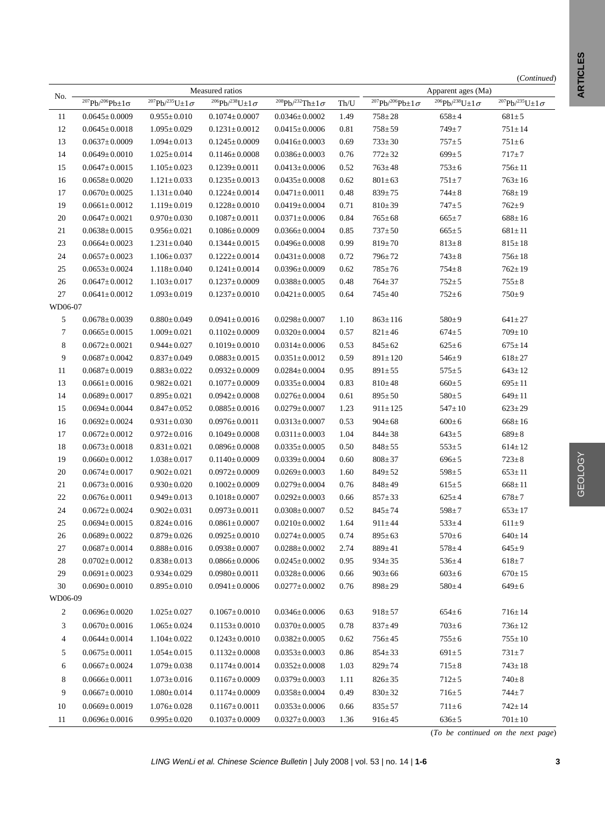| No.     |                                                     |                                        | Measured ratios        | Apparent ages (Ma)        |      |                                                  |                                              |                                                  |
|---------|-----------------------------------------------------|----------------------------------------|------------------------|---------------------------|------|--------------------------------------------------|----------------------------------------------|--------------------------------------------------|
|         | $^{207}\mathrm{Pb} / ^{206}\mathrm{Pb} \pm 1\sigma$ | $\sqrt[207]{Pb}$ /235 $U \pm 1 \sigma$ | $206Pb/238U\pm1\sigma$ | $208Pb/232Th \pm 1\sigma$ | Th/U | $\frac{1}{207}$ Pb/ <sup>206</sup> Pb±1 $\sigma$ | $^{206}\text{Pb}/^{238}\text{U}\pm1\,\sigma$ | $^{207}{\rm Pb} / ^{235}{\rm U} {\pm 1\,\sigma}$ |
| 11      | $0.0645 \pm 0.0009$                                 | $0.955 \pm 0.010$                      | $0.1074 \pm 0.0007$    | $0.0346 \pm 0.0002$       | 1.49 | $758 \pm 28$                                     | $658 \pm 4$                                  | $681 \pm 5$                                      |
| 12      | $0.0645 \pm 0.0018$                                 | $1.095 \pm 0.029$                      | $0.1231 \pm 0.0012$    | $0.0415 \pm 0.0006$       | 0.81 | $758 \pm 59$                                     | $749 \pm 7$                                  | $751 \pm 14$                                     |
| 13      | $0.0637 \pm 0.0009$                                 | $1.094 \pm 0.013$                      | $0.1245 \pm 0.0009$    | $0.0416 \pm 0.0003$       | 0.69 | $733 \pm 30$                                     | $757 + 5$                                    | $751 \pm 6$                                      |
| 14      | $0.0649 \pm 0.0010$                                 | $1.025 \pm 0.014$                      | $0.1146 \pm 0.0008$    | $0.0386 \pm 0.0003$       | 0.76 | $772 \pm 32$                                     | $699 \pm 5$                                  | $717 + 7$                                        |
| 15      | $0.0647 \pm 0.0015$                                 | $1.105 \pm 0.023$                      | $0.1239 \pm 0.0011$    | $0.0413 \pm 0.0006$       | 0.52 | $763 \pm 48$                                     | $753 \pm 6$                                  | $756 \pm 11$                                     |
| 16      | $0.0658 \pm 0.0020$                                 | $1.121 \pm 0.033$                      | $0.1235 \pm 0.0013$    | $0.0435 \pm 0.0008$       | 0.62 | $801 \pm 63$                                     | $751 \pm 7$                                  | $763 \pm 16$                                     |
| 17      | $0.0670 \pm 0.0025$                                 | $1.131 \pm 0.040$                      | $0.1224 \pm 0.0014$    | $0.0471 \pm 0.0011$       | 0.48 | $839 \pm 75$                                     | $744 \pm 8$                                  | $768 \pm 19$                                     |
| 19      | $0.0661 \pm 0.0012$                                 | $1.119 \pm 0.019$                      | $0.1228 \pm 0.0010$    | $0.0419 \pm 0.0004$       | 0.71 | $810 \pm 39$                                     | $747 + 5$                                    | $762 \pm 9$                                      |
| 20      | $0.0647 \pm 0.0021$                                 | $0.970 \pm 0.030$                      | $0.1087 \pm 0.0011$    | $0.0371 \pm 0.0006$       | 0.84 | $765 \pm 68$                                     | $665 \pm 7$                                  | $688 \pm 16$                                     |
| 21      | $0.0638 \pm 0.0015$                                 | $0.956 \pm 0.021$                      | $0.1086 \pm 0.0009$    | $0.0366 \pm 0.0004$       | 0.85 | $737 \pm 50$                                     | $665 \pm 5$                                  | $681 \pm 11$                                     |
| 23      | $0.0664 \pm 0.0023$                                 | $1.231 \pm 0.040$                      | $0.1344 \pm 0.0015$    | $0.0496 \pm 0.0008$       | 0.99 | $819 \pm 70$                                     | $813 \pm 8$                                  | $815 \pm 18$                                     |
| 24      | $0.0657 \pm 0.0023$                                 | $1.106 \pm 0.037$                      | $0.1222 \pm 0.0014$    | $0.0431 \pm 0.0008$       | 0.72 | $796 \pm 72$                                     | $743 \pm 8$                                  | $756 \pm 18$                                     |
| $25\,$  | $0.0653 \pm 0.0024$                                 | $1.118 \pm 0.040$                      | $0.1241 \pm 0.0014$    | $0.0396 \pm 0.0009$       | 0.62 | $785 \pm 76$                                     | $754 \pm 8$                                  | $762 \pm 19$                                     |
| 26      | $0.0647 \pm 0.0012$                                 | $1.103 \pm 0.017$                      | $0.1237 \pm 0.0009$    | $0.0388 \pm 0.0005$       | 0.48 | $764 \pm 37$                                     | $752 \pm 5$                                  | $755 \pm 8$                                      |
| 27      | $0.0641 \pm 0.0012$                                 | $1.093 \pm 0.019$                      | $0.1237 \pm 0.0010$    | $0.0421 \pm 0.0005$       | 0.64 | $745 \pm 40$                                     | $752 \pm 6$                                  | $750+9$                                          |
| WD06-07 |                                                     |                                        |                        |                           |      |                                                  |                                              |                                                  |
| 5       | $0.0678 \pm 0.0039$                                 | $0.880 \pm 0.049$                      | $0.0941 \pm 0.0016$    | $0.0298 \pm 0.0007$       | 1.10 | $863 \pm 116$                                    | $580+9$                                      | $641 \pm 27$                                     |
| 7       | $0.0665 \pm 0.0015$                                 | $1.009 \pm 0.021$                      | $0.1102 \pm 0.0009$    | $0.0320 \pm 0.0004$       | 0.57 | $821 \pm 46$                                     | $674 \pm 5$                                  | $709 \pm 10$                                     |
| 8       | $0.0672 \pm 0.0021$                                 | $0.944 \pm 0.027$                      | $0.1019 \pm 0.0010$    | $0.0314 \pm 0.0006$       | 0.53 | $845 \pm 62$                                     | $625 \pm 6$                                  | $675 \pm 14$                                     |
| 9       | $0.0687 \pm 0.0042$                                 | $0.837 \pm 0.049$                      | $0.0883 \pm 0.0015$    | $0.0351 \pm 0.0012$       | 0.59 | $891 \pm 120$                                    | $546 \pm 9$                                  | $618 \pm 27$                                     |
| 11      | $0.0687 \pm 0.0019$                                 | $0.883 \pm 0.022$                      | $0.0932 \pm 0.0009$    | $0.0284 \pm 0.0004$       | 0.95 | $891 \pm 55$                                     | $575 \pm 5$                                  | $643 \pm 12$                                     |
| 13      | $0.0661 \pm 0.0016$                                 | $0.982 \pm 0.021$                      | $0.1077 \pm 0.0009$    | $0.0335 \pm 0.0004$       | 0.83 | $810 \pm 48$                                     | $660 \pm 5$                                  | $695 \pm 11$                                     |
| 14      | $0.0689 \pm 0.0017$                                 | $0.895 \pm 0.021$                      | $0.0942 \pm 0.0008$    | $0.0276 \pm 0.0004$       | 0.61 | $895 \pm 50$                                     | $580 \pm 5$                                  | $649 \pm 11$                                     |
| 15      | $0.0694 \pm 0.0044$                                 | $0.847 \pm 0.052$                      | $0.0885 \pm 0.0016$    | $0.0279 \pm 0.0007$       | 1.23 | $911 \pm 125$                                    | $547 \pm 10$                                 | $623 \pm 29$                                     |
| 16      | $0.0692 \pm 0.0024$                                 | $0.931 \pm 0.030$                      | $0.0976 \pm 0.0011$    | $0.0313 \pm 0.0007$       | 0.53 | $904 \pm 68$                                     | $600\pm 6$                                   | $668 \pm 16$                                     |
| 17      | $0.0672 \pm 0.0012$                                 | $0.972 \pm 0.016$                      | $0.1049 \pm 0.0008$    | $0.0311 \pm 0.0003$       | 1.04 | $844 \pm 38$                                     | $643 \pm 5$                                  | $689 \pm 8$                                      |
| 18      | $0.0673 \pm 0.0018$                                 | $0.831 \pm 0.021$                      | $0.0896 \pm 0.0008$    | $0.0335 \pm 0.0005$       | 0.50 | $848 + 55$                                       | $553 \pm 5$                                  | $614 \pm 12$                                     |
| 19      | $0.0660 \pm 0.0012$                                 | $1.038 \pm 0.017$                      | $0.1140 \pm 0.0009$    | $0.0339 \pm 0.0004$       | 0.60 | $808 \pm 37$                                     | $696 \pm 5$                                  | $723 \pm 8$                                      |
| 20      | $0.0674 \pm 0.0017$                                 | $0.902 \pm 0.021$                      | $0.0972 \pm 0.0009$    | $0.0269 \pm 0.0003$       | 1.60 | $849 \pm 52$                                     | $598 \pm 5$                                  | $653 \pm 11$                                     |
| 21      | $0.0673 \pm 0.0016$                                 | $0.930 \pm 0.020$                      | $0.1002 \pm 0.0009$    | $0.0279 \pm 0.0004$       | 0.76 | $848 \pm 49$                                     | $615 \pm 5$                                  | $668 \pm 11$                                     |
| 22      | $0.0676 \pm 0.0011$                                 | $0.949 \pm 0.013$                      | $0.1018 \pm 0.0007$    | $0.0292 \pm 0.0003$       | 0.66 | $857 \pm 33$                                     | $625 \pm 4$                                  | $678 + 7$                                        |
| 24      | $0.0672 \pm 0.0024$                                 | $0.902 \pm 0.031$                      | $0.0973 \pm 0.0011$    | $0.0308 \pm 0.0007$       | 0.52 | $845 \pm 74$                                     | $598 \pm 7$                                  | $653 \pm 17$                                     |
| 25      | $0.0694 \pm 0.0015$                                 | $0.824 \pm 0.016$                      | $0.0861 \pm 0.0007$    | $0.0210 \pm 0.0002$       | 1.64 | $911 \pm 44$                                     | $533 \pm 4$                                  | $611 \pm 9$                                      |
| 26      | $0.0689 \pm 0.0022$                                 | $0.879 \pm 0.026$                      | $0.0925 \pm 0.0010$    | $0.0274 \pm 0.0005$       | 0.74 | $895 \pm 63$                                     | $570 \pm 6$                                  | $640 \pm 14$                                     |
| 27      | $0.0687 \pm 0.0014$                                 | $0.888 \pm 0.016$                      | $0.0938 \pm 0.0007$    | $0.0288 \pm 0.0002$       | 2.74 | $889 \pm 41$                                     | $578 \pm 4$                                  | $645 \pm 9$                                      |
| 28      | $0.0702 \pm 0.0012$                                 | $0.838 \pm 0.013$                      | $0.0866 \pm 0.0006$    | $0.0245 \pm 0.0002$       | 0.95 | $934 \pm 35$                                     | $536 \pm 4$                                  | $618 + 7$                                        |
| 29      | $0.0691 \pm 0.0023$                                 | $0.934 \pm 0.029$                      | $0.0980 \pm 0.0011$    | $0.0328 \pm 0.0006$       | 0.66 | $903 \pm 66$                                     | $603 \pm 6$                                  | $670 \pm 15$                                     |
| 30      | $0.0690 \pm 0.0010$                                 | $0.895 \pm 0.010$                      | $0.0941 \pm 0.0006$    | $0.0277 \pm 0.0002$       | 0.76 | $898 \pm 29$                                     | $580 \pm 4$                                  | $649 \pm 6$                                      |
| WD06-09 |                                                     |                                        |                        |                           |      |                                                  |                                              |                                                  |
| 2       | $0.0696 \pm 0.0020$                                 | $1.025 \pm 0.027$                      | $0.1067 \pm 0.0010$    | $0.0346 \pm 0.0006$       | 0.63 | $918 + 57$                                       | $654 \pm 6$                                  | $716 \pm 14$                                     |
| 3       | $0.0670 \pm 0.0016$                                 | $1.065 \pm 0.024$                      | $0.1153 \pm 0.0010$    | $0.0370 \pm 0.0005$       | 0.78 | $837 \pm 49$                                     | $703 \pm 6$                                  | $736 \pm 12$                                     |
| 4       | $0.0644 \pm 0.0014$                                 | $1.104 \pm 0.022$                      | $0.1243 \pm 0.0010$    | $0.0382 \pm 0.0005$       | 0.62 | $756 \pm 45$                                     | $755 \pm 6$                                  | $755 \pm 10$                                     |
| 5       | $0.0675 \pm 0.0011$                                 | $1.054 \pm 0.015$                      | $0.1132 \pm 0.0008$    | $0.0353 \pm 0.0003$       | 0.86 | $854 \pm 33$                                     | $691 \pm 5$                                  | $731 \pm 7$                                      |
| 6       | $0.0667 \pm 0.0024$                                 | $1.079 \pm 0.038$                      | $0.1174 \pm 0.0014$    | $0.0352 \pm 0.0008$       | 1.03 | $829 \pm 74$                                     | $715 \pm 8$                                  | $743 \pm 18$                                     |
| 8       | $0.0666 \pm 0.0011$                                 | $1.073 \pm 0.016$                      | $0.1167 \pm 0.0009$    | $0.0379 \pm 0.0003$       | 1.11 | $826 \pm 35$                                     | $712 \pm 5$                                  | $740 \pm 8$                                      |
| 9       | $0.0667 \pm 0.0010$                                 | $1.080 \pm 0.014$                      | $0.1174 \pm 0.0009$    | $0.0358 \pm 0.0004$       | 0.49 | $830 \pm 32$                                     | $716 \pm 5$                                  | $744 + 7$                                        |
| 10      | $0.0669 \pm 0.0019$                                 | $1.076 \pm 0.028$                      | $0.1167 \pm 0.0011$    | $0.0353 \pm 0.0006$       | 0.66 | $835 \pm 57$                                     | $711 \pm 6$                                  | $742 \pm 14$                                     |
| 11      | $0.0696 \pm 0.0016$                                 | $0.995 \pm 0.020$                      | $0.1037 \pm 0.0009$    | $0.0327 \pm 0.0003$       | 1.36 | $916 \pm 45$                                     | $636 \pm 5$                                  | $701 \pm 10$                                     |
|         |                                                     |                                        |                        |                           |      |                                                  |                                              |                                                  |

**ARTICLES** 

**ARTICLES** 

(*To be continued on the next page*)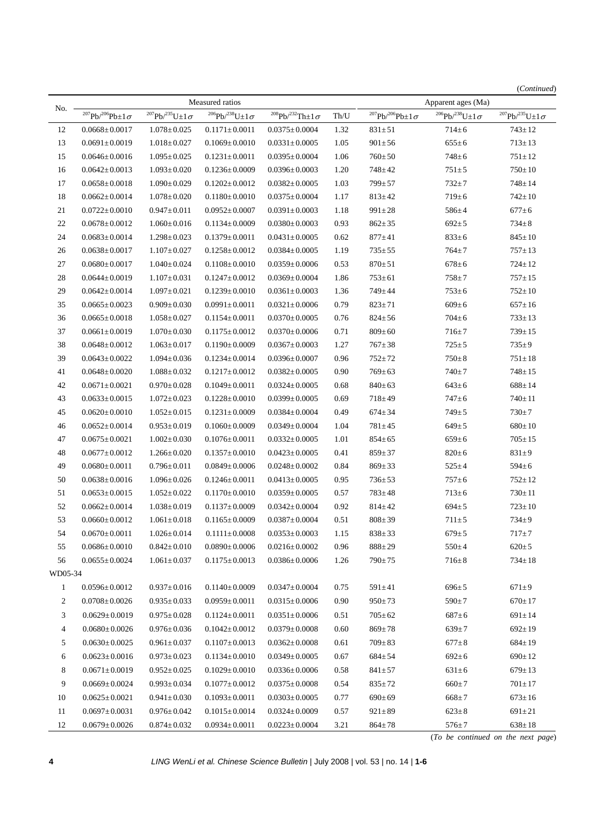| No.            |                                                 |                                | Measured ratios              | Apparent ages (Ma)              |      |                                 |                              |                              |
|----------------|-------------------------------------------------|--------------------------------|------------------------------|---------------------------------|------|---------------------------------|------------------------------|------------------------------|
|                | $^{207}{\rm Pb}^{/206}{\rm Pb} {\pm 1\,\sigma}$ | $^{207}Pb/^{235}U \pm 1\sigma$ | $^{206}Pb/^{238}U\pm1\sigma$ | $^{208}Pb/^{232}Th \pm 1\sigma$ | Th/U | $^{207}Pb/^{206}Pb \pm 1\sigma$ | $^{206}Pb/^{238}U\pm1\sigma$ | $^{207}Pb/^{235}U\pm1\sigma$ |
| 12             | $0.0668 \pm 0.0017$                             | $1.078 \pm 0.025$              | $0.1171 \pm 0.0011$          | $0.0375 \pm 0.0004$             | 1.32 | $831\pm51$                      | $714 \pm 6$                  | $743 \pm 12$                 |
| 13             | $0.0691 \pm 0.0019$                             | $1.018 \pm 0.027$              | $0.1069 \pm 0.0010$          | $0.0331 \pm 0.0005$             | 1.05 | $901 \pm 56$                    | $655 \pm 6$                  | $713 \pm 13$                 |
| 15             | $0.0646 \pm 0.0016$                             | $1.095 \pm 0.025$              | $0.1231 \pm 0.0011$          | $0.0395 \pm 0.0004$             | 1.06 | $760 \pm 50$                    | $748 \pm 6$                  | $751 \pm 12$                 |
| 16             | $0.0642 \pm 0.0013$                             | $1.093 \pm 0.020$              | $0.1236 \pm 0.0009$          | $0.0396 \pm 0.0003$             | 1.20 | $748 + 42$                      | $751 \pm 5$                  | $750 \pm 10$                 |
| 17             | $0.0658 \pm 0.0018$                             | $1.090 \pm 0.029$              | $0.1202 \pm 0.0012$          | $0.0382 \pm 0.0005$             | 1.03 | $799 + 57$                      | $732 + 7$                    | $748 \pm 14$                 |
| 18             | $0.0662 \pm 0.0014$                             | $1.078 \pm 0.020$              | $0.1180 \pm 0.0010$          | $0.0375 \pm 0.0004$             | 1.17 | $813 \pm 42$                    | $719 \pm 6$                  | $742 \pm 10$                 |
| 21             | $0.0722 \pm 0.0010$                             | $0.947 \pm 0.011$              | $0.0952 \pm 0.0007$          | $0.0391 \pm 0.0003$             | 1.18 | $991 \pm 28$                    | $586 \pm 4$                  | $677 + 6$                    |
| 22             | $0.0678 \pm 0.0012$                             | $1.060 \pm 0.016$              | $0.1134 \pm 0.0009$          | $0.0380 \pm 0.0003$             | 0.93 | $862 \pm 35$                    | $692 \pm 5$                  | $734 \pm 8$                  |
| 24             | $0.0683 \pm 0.0014$                             | $1.298 \pm 0.023$              | $0.1379 \pm 0.0011$          | $0.0431 \pm 0.0005$             | 0.62 | $877 + 41$                      | $833 \pm 6$                  | $845 \pm 10$                 |
| 26             | $0.0638 \pm 0.0017$                             | $1.107 \pm 0.027$              | $0.1258 \pm 0.0012$          | $0.0384 \pm 0.0005$             | 1.19 | $735 \pm 55$                    | $764 \pm 7$                  | $757\!\pm\!13$               |
| 27             | $0.0680 \pm 0.0017$                             | $1.040 \pm 0.024$              | $0.1108 \pm 0.0010$          | $0.0359 \pm 0.0006$             | 0.53 | $870 \pm 51$                    | $678 \pm 6$                  | $724 \pm 12$                 |
| 28             | $0.0644 \pm 0.0019$                             | $1.107 \pm 0.031$              | $0.1247 \pm 0.0012$          | $0.0369 \pm 0.0004$             | 1.86 | $753 \pm 61$                    | $758 + 7$                    | $757 \pm 15$                 |
| 29             | $0.0642 \pm 0.0014$                             | $1.097 \pm 0.021$              | $0.1239 \pm 0.0010$          | $0.0361 \pm 0.0003$             | 1.36 | 749±44                          | $753 \pm 6$                  | $752 \pm 10$                 |
| 35             | $0.0665 \pm 0.0023$                             | $0.909 \pm 0.030$              | $0.0991 \pm 0.0011$          | $0.0321 \pm 0.0006$             | 0.79 | $823 \pm 71$                    | $609 \pm 6$                  | $657 \pm 16$                 |
| 36             | $0.0665 \pm 0.0018$                             | $1.058 \pm 0.027$              | $0.1154 \pm 0.0011$          | $0.0370 \pm 0.0005$             | 0.76 | $824 \pm 56$                    | $704 \pm 6$                  | $733 \pm 13$                 |
| 37             | $0.0661 \pm 0.0019$                             | $1.070 \pm 0.030$              | $0.1175 \pm 0.0012$          | $0.0370 \pm 0.0006$             | 0.71 | $809 \pm 60$                    | $716 \pm 7$                  | $739 \pm 15$                 |
| 38             | $0.0648 \pm 0.0012$                             | $1.063 \pm 0.017$              | $0.1190 \pm 0.0009$          | $0.0367 \pm 0.0003$             | 1.27 | $767 \pm 38$                    | $725 \pm 5$                  | $735 \pm 9$                  |
| 39             | $0.0643 \pm 0.0022$                             | $1.094 \pm 0.036$              | $0.1234 \pm 0.0014$          | $0.0396 \pm 0.0007$             | 0.96 | $752 + 72$                      | $750 \pm 8$                  | $751 \pm 18$                 |
| 41             | $0.0648 \pm 0.0020$                             | $1.088 \pm 0.032$              | $0.1217 \pm 0.0012$          | $0.0382 \pm 0.0005$             | 0.90 | $769 \pm 63$                    | $740 \pm 7$                  | $748 \pm 15$                 |
| 42             | $0.0671 \pm 0.0021$                             | $0.970 \pm 0.028$              | $0.1049 \pm 0.0011$          | $0.0324 \pm 0.0005$             | 0.68 | $840 \pm 63$                    | $643 \pm 6$                  | $688 \pm 14$                 |
| 43             | $0.0633 \pm 0.0015$                             | $1.072 \pm 0.023$              | $0.1228 \pm 0.0010$          | $0.0399 \pm 0.0005$             | 0.69 | $718 + 49$                      | $747 \pm 6$                  | $740 \pm 11$                 |
| 45             | $0.0620 \pm 0.0010$                             | $1.052 \pm 0.015$              | $0.1231 \pm 0.0009$          | $0.0384 \pm 0.0004$             | 0.49 | $674 \pm 34$                    | $749 \pm 5$                  | $730 \pm 7$                  |
| 46             | $0.0652 \pm 0.0014$                             | $0.953 \pm 0.019$              | $0.1060 \pm 0.0009$          | $0.0349 \pm 0.0004$             | 1.04 | $781 \pm 45$                    | $649 \pm 5$                  | $680 \pm 10$                 |
| 47             | $0.0675 \pm 0.0021$                             | $1.002 \pm 0.030$              | $0.1076 \pm 0.0011$          | $0.0332 \pm 0.0005$             | 1.01 | $854 \pm 65$                    | $659 \pm 6$                  | $705 \pm 15$                 |
| 48             | $0.0677 \pm 0.0012$                             | $1.266 \pm 0.020$              | $0.1357 \pm 0.0010$          | $0.0423 \pm 0.0005$             | 0.41 | $859 \pm 37$                    | $820 \pm 6$                  | $831 \pm 9$                  |
| 49             | $0.0680 \pm 0.0011$                             | $0.796 \pm 0.011$              | $0.0849 \pm 0.0006$          | $0.0248 \pm 0.0002$             | 0.84 | $869 \pm 33$                    | $525 \pm 4$                  | $594 \pm 6$                  |
| 50             | $0.0638 \pm 0.0016$                             | $1.096 \pm 0.026$              | $0.1246 \pm 0.0011$          | $0.0413 \pm 0.0005$             | 0.95 | $736 \pm 53$                    | $757 \pm 6$                  | $752 \pm 12$                 |
| 51             | $0.0653 \pm 0.0015$                             | $1.052 \pm 0.022$              | $0.1170 {\pm} \, 0.0010$     | $0.0359 \pm 0.0005$             | 0.57 | $783 \pm 48$                    | $713 \pm 6$                  | $730 \pm 11$                 |
| 52             | $0.0662 \pm 0.0014$                             | $1.038 \pm 0.019$              | $0.1137 \pm 0.0009$          | $0.0342 \pm 0.0004$             | 0.92 | $814 \pm 42$                    | $694 \pm 5$                  | $723 \pm 10$                 |
| 53             | $0.0660 \pm 0.0012$                             | $1.061 \pm 0.018$              | $0.1165 \pm 0.0009$          | $0.0387 \pm 0.0004$             | 0.51 | $808 \pm 39$                    | $711 \pm 5$                  | $734 \pm 9$                  |
| 54             | $0.0670 \pm 0.0011$                             | $1.026 \pm 0.014$              | $0.1111 {\pm} 0.0008$        | $0.0353 \pm 0.0003$             | 1.15 | $838 \pm 33$                    | $679 \pm 5$                  | $717 + 7$                    |
| 55             | $0.0686 \pm 0.0010$                             | $0.842 \pm 0.010$              | $0.0890 \pm 0.0006$          | $0.0216 \pm 0.0002$             | 0.96 | $888 \pm 29$                    | $550 \pm 4$                  | $620 \pm 5$                  |
| 56             | $0.0655 \pm 0.0024$                             | $1.061 \pm 0.037$              | $0.1175 \pm 0.0013$          | $0.0386 \pm 0.0006$             | 1.26 | $790 + 75$                      | $716 \pm 8$                  | $734 \pm 18$                 |
| WD05-34        |                                                 |                                |                              |                                 |      |                                 |                              |                              |
| $\mathbf{1}$   | $0.0596 \pm 0.0012$                             | $0.937 \pm 0.016$              | $0.1140 \pm 0.0009$          | $0.0347 \pm 0.0004$             | 0.75 | $591 \pm 41$                    | $696 \pm 5$                  | $671 \pm 9$                  |
| 2              | $0.0708 \pm 0.0026$                             | $0.935 \pm 0.033$              | $0.0959 \pm 0.0011$          | $0.0315 \pm 0.0006$             | 0.90 | $950 \pm 73$                    | $590 \pm 7$                  | $670 \pm 17$                 |
| 3              | $0.0629 \pm 0.0019$                             | $0.975 \pm 0.028$              | $0.1124 \pm 0.0011$          | $0.0351 \pm 0.0006$             | 0.51 | $705 \pm 62$                    | $687 \pm 6$                  | $691 \pm 14$                 |
| $\overline{4}$ | $0.0680 \pm 0.0026$                             | $0.976 \pm 0.036$              | $0.1042 \pm 0.0012$          | $0.0379 \pm 0.0008$             | 0.60 | $869 \pm 78$                    | $639 \pm 7$                  | $692 \pm 19$                 |
| 5              | $0.0630 \pm 0.0025$                             | $0.961 \pm 0.037$              | $0.1107 {\pm} 0.0013$        | $0.0362 \pm 0.0008$             | 0.61 | $709 \pm 83$                    | $677 \pm 8$                  | $684 \pm 19$                 |
| 6              | $0.0623 \pm 0.0016$                             | $0.973 \pm 0.023$              | $0.1134 \pm 0.0010$          | $0.0349 \pm 0.0005$             | 0.67 | $684 \pm 54$                    | $692 \pm 6$                  | $690 \pm 12$                 |
| 8              | $0.0671 \pm 0.0019$                             | $0.952 \pm 0.025$              | $0.1029 \pm 0.0010$          | $0.0336 \pm 0.0006$             | 0.58 | $841 \pm 57$                    | $631 \pm 6$                  | $679 \pm 13$                 |
| 9              | $0.0669 \pm 0.0024$                             | $0.993 \pm 0.034$              | $0.1077 \pm 0.0012$          | $0.0375 \pm 0.0008$             | 0.54 | $835 \pm 72$                    | $660 \pm 7$                  | $701 \pm 17$                 |
| 10             | $0.0625 \pm 0.0021$                             | $0.941 \pm 0.030$              | $0.1093 \pm 0.0011$          | $0.0303 \pm 0.0005$             | 0.77 | $690 \pm 69$                    | $668 \pm 7$                  | $673 \pm 16$                 |
| 11             | $0.0697 \pm 0.0031$                             | $0.976 \pm 0.042$              | $0.1015 \pm 0.0014$          | $0.0324 \pm 0.0009$             | 0.57 | $921 \pm 89$                    | $623 \pm 8$                  | $691 \pm 21$                 |
| 12             | $0.0679 \pm 0.0026$                             | $0.874 \pm 0.032$              | $0.0934 \pm 0.0011$          | $0.0223 \pm 0.0004$             | 3.21 | $864 \pm 78$                    | $576 \pm 7$                  | $638 \pm 18$                 |

(*To be continued on the next page*)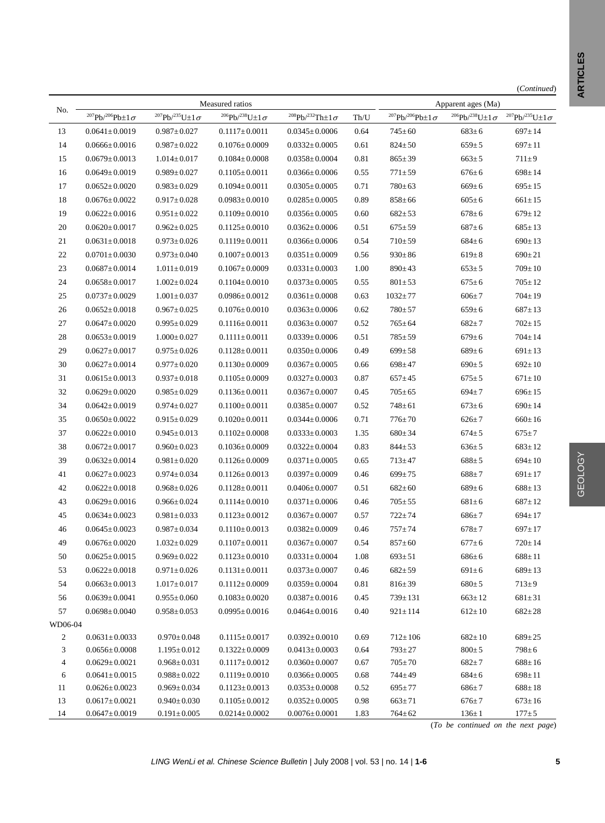| (Continued) |
|-------------|
|-------------|

|                          |                                            |                                        | Measured ratios                                  |                                            |              |                              | Apparent ages (Ma)           |                                                  |
|--------------------------|--------------------------------------------|----------------------------------------|--------------------------------------------------|--------------------------------------------|--------------|------------------------------|------------------------------|--------------------------------------------------|
| No.                      | $^{207}Pb/^{206}Pb±1\sigma$                | $^{207}Pb/^{235}U\pm1\,\sigma$         | $^{206}\text{Pb}/^{238}\text{U}\!\pm\!1\,\sigma$ | $^{208}Pb/^{232}Th \pm 1\sigma$            | $\rm Th/U$   | $^{207}Pb/^{206}Pb±1\sigma$  | $^{206}Pb/^{238}U\pm1\sigma$ | $^{207}{\rm Pb} / ^{235}{\rm U} {\pm 1\,\sigma}$ |
| 13                       | $0.0641 \pm 0.0019$                        | $0.987 \pm 0.027$                      | $0.1117 \pm 0.0011$                              | $0.0345 \pm 0.0006$                        | 0.64         | $745 \pm 60$                 | $683 \pm 6$                  | $697 \pm 14$                                     |
| 14                       | $0.0666 \pm 0.0016$                        | $0.987 \pm 0.022$                      | $0.1076 \pm 0.0009$                              | $0.0332 \pm 0.0005$                        | 0.61         | $824 \pm 50$                 | $659 \pm 5$                  | $697 \pm 11$                                     |
| 15                       | $0.0679 \pm 0.0013$                        | $1.014 \pm 0.017$                      | $0.1084 \pm 0.0008$                              | $0.0358 \pm 0.0004$                        | 0.81         | $865 \pm 39$                 | $663 \pm 5$                  | $711 \pm 9$                                      |
| 16                       | $0.0649 \pm 0.0019$                        | $0.989 \pm 0.027$                      | $0.1105 \pm 0.0011$                              | $0.0366 \pm 0.0006$                        | 0.55         | $771 \pm 59$                 | $676 \pm 6$                  | $698 \pm 14$                                     |
| 17                       | $0.0652 \pm 0.0020$                        | $0.983 \pm 0.029$                      | $0.1094 \pm 0.0011$                              | $0.0305 \pm 0.0005$                        | 0.71         | $780 \pm 63$                 | $669 \pm 6$                  | $695 \pm 15$                                     |
| 18                       | $0.0676 \pm 0.0022$                        | $0.917 \pm 0.028$                      | $0.0983 \pm 0.0010$                              | $0.0285 \pm 0.0005$                        | 0.89         | $858 \pm 66$                 | $605 \pm 6$                  | $661 \pm 15$                                     |
| 19                       | $0.0622 \pm 0.0016$                        | $0.951 \pm 0.022$                      | $0.1109 \pm 0.0010$                              | $0.0356 \pm 0.0005$                        | 0.60         | $682 \pm 53$                 | $678 \pm 6$                  | $679 \pm 12$                                     |
| 20                       | $0.0620 \pm 0.0017$                        | $0.962 \pm 0.025$                      | $0.1125 \pm 0.0010$                              | $0.0362 \pm 0.0006$                        | 0.51         | $675 \pm 59$                 | $687 + 6$                    | $685 \pm 13$                                     |
| 21                       | $0.0631 \pm 0.0018$                        | $0.973 \pm 0.026$                      | $0.1119 \pm 0.0011$                              | $0.0366 \pm 0.0006$                        | 0.54         | $710 \pm 59$                 | $684 \pm 6$                  | $690 \pm 13$                                     |
| $22\,$                   | $0.0701 \pm 0.0030$                        | $0.973 \pm 0.040$                      | $0.1007 \pm 0.0013$                              | $0.0351 \pm 0.0009$                        | 0.56         | $930 \pm 86$                 | $619 \pm 8$                  | $690 \pm 21$                                     |
| 23                       | $0.0687 \pm 0.0014$                        | $1.011 \pm 0.019$                      | $0.1067 \pm 0.0009$                              | $0.0331 \pm 0.0003$                        | 1.00         | $890 \pm 43$                 | $653 \pm 5$                  | $709 \pm 10$                                     |
| 24                       | $0.0658 \pm 0.0017$                        | $1.002 \pm 0.024$                      | $0.1104 \pm 0.0010$                              | $0.0373 \pm 0.0005$                        | 0.55         | $801 \pm 53$                 | $675 \pm 6$                  | $705 \pm 12$                                     |
| 25                       | $0.0737 \pm 0.0029$                        | $1.001 \pm 0.037$                      | $0.0986 \pm 0.0012$                              | $0.0361 \pm 0.0008$                        | 0.63         | $1032 \pm 77$                | $606 \pm 7$                  | $704 \pm 19$                                     |
| $26\,$                   | $0.0652 \pm 0.0018$                        | $0.967 \pm 0.025$                      | $0.1076 \pm 0.0010$                              | $0.0363 \pm 0.0006$                        | 0.62         | $780 + 57$                   | $659 \pm 6$                  | $687 \pm 13$                                     |
| 27                       | $0.0647 \pm 0.0020$                        | $0.995 \pm 0.029$                      | $0.1116 \pm 0.0011$                              | $0.0363 \pm 0.0007$                        | 0.52         | $765 \pm 64$                 | $682 + 7$                    | $702 \pm 15$                                     |
| $28\,$                   | $0.0653 \pm 0.0019$                        | $1.000 \pm 0.027$                      | $0.1111 \pm 0.0011$                              | $0.0339 \pm 0.0006$                        | 0.51         | $785 \pm 59$                 | $679 \pm 6$                  | $704 \pm 14$                                     |
| 29                       | $0.0627 \pm 0.0017$                        | $0.975 \pm 0.026$                      | $0.1128 \pm 0.0011$                              | $0.0350 \pm 0.0006$                        | 0.49         | $699 \pm 58$                 | $689 \pm 6$                  | $691 \pm 13$                                     |
| $30\,$                   | $0.0627 \pm 0.0014$                        | $0.977 \pm 0.020$                      | $0.1130 \pm 0.0009$                              | $0.0367 \pm 0.0005$                        | 0.66         | $698 \pm 47$                 | $690 \pm 5$                  | $692 \pm 10$                                     |
| 31                       | $0.0615 \pm 0.0013$                        | $0.937 \pm 0.018$                      | $0.1105 \pm 0.0009$                              | $0.0327 \pm 0.0003$                        | 0.87         | $657 \pm 45$                 | $675 \pm 5$                  | $671 \pm 10$                                     |
| 32                       | $0.0629 \pm 0.0020$                        | $0.985 \pm 0.029$                      | $0.1136 \pm 0.0011$                              | $0.0367 \pm 0.0007$                        | 0.45         | $705 \pm 65$                 | $694 \pm 7$                  | $696 \pm 15$                                     |
| 34                       | $0.0642 \pm 0.0019$                        | $0.974 \pm 0.027$                      | $0.1100 \pm 0.0011$                              | $0.0385 \pm 0.0007$                        | 0.52         | $748 \pm 61$                 | $673 \pm 6$                  | $690 \pm 14$                                     |
| 35                       | $0.0650 \pm 0.0022$                        | $0.915 \pm 0.029$                      | $0.1020 \pm 0.0011$                              | $0.0344 \pm 0.0006$                        | 0.71         | $776 \pm 70$                 | $626 \pm 7$                  | $660 \pm 16$                                     |
| 37                       | $0.0622 \pm 0.0010$                        | $0.945 \pm 0.013$                      | $0.1102 \pm 0.0008$                              | $0.0333 \pm 0.0003$                        | 1.35         | $680 \pm 34$                 | $674 \pm 5$                  | $675 \pm 7$                                      |
| 38                       | $0.0672 \pm 0.0017$                        | $0.960 \pm 0.023$                      | $0.1036 \pm 0.0009$                              | $0.0322 \pm 0.0004$                        | 0.83         | $844 \pm 53$                 | $636 \pm 5$                  | $683 \pm 12$                                     |
| 39                       | $0.0632 \pm 0.0014$                        | $0.981 \pm 0.020$                      | $0.1126 \pm 0.0009$                              | $0.0371 \pm 0.0005$                        | 0.65         | $713 \pm 47$                 | $688 \pm 5$                  | $694 \pm 10$                                     |
| 41                       | $0.0627 \pm 0.0023$                        | $0.974 \pm 0.034$                      | $0.1126 \pm 0.0013$                              | $0.0397 \pm 0.0009$                        | 0.46         | $699 \pm 75$                 | $688 \pm 7$                  | $691 \pm 17$                                     |
| 42                       | $0.0622 \pm 0.0018$                        | $0.968 \pm 0.026$                      | $0.1128 \pm 0.0011$                              | $0.0406 \pm 0.0007$                        | 0.51         | $682 \pm 60$                 | $689 \pm 6$                  | $688 \pm 13$                                     |
| 43                       | $0.0629 \pm 0.0016$                        | $0.966 \pm 0.024$                      | $0.1114 \pm 0.0010$                              | $0.0371 \pm 0.0006$                        | 0.46         | $705 \pm 55$                 | $681 \pm 6$                  | $687 \pm 12$                                     |
| 45                       | $0.0634 \pm 0.0023$                        | $0.981 \pm 0.033$                      | $0.1123 \pm 0.0012$                              | $0.0367 \pm 0.0007$                        | 0.57         | $722 + 74$                   | $686 \pm 7$                  | $694 \pm 17$                                     |
| 46                       | $0.0645 \pm 0.0023$                        | $0.987 \pm 0.034$                      | $0.1110 \pm 0.0013$                              | $0.0382 \pm 0.0009$                        | 0.46         | $757 + 74$                   | $678 \pm 7$                  | $697 \pm 17$                                     |
| 49                       | $0.0676 \pm 0.0020$                        | $1.032 \pm 0.029$                      | $0.1107 \pm 0.0011$                              | $0.0367 \pm 0.0007$                        | 0.54         | $857 \pm 60$                 | $677 \pm 6$                  | $720 \pm 14$                                     |
| 50                       | $0.0625 \pm 0.0015$                        | $0.969 \pm 0.022$                      | $0.1123 \pm 0.0010$                              | $0.0331 \pm 0.0004$                        | 1.08         | $693 \pm 51$                 | $686 \pm 6$                  | $688 \pm 11$                                     |
| 53                       | $0.0622 \pm 0.0018$                        | $0.971 \!\pm\! 0.026$                  | $0.1131 \pm 0.0011$                              | $0.0373 \pm 0.0007$                        | 0.46         | $682 + 59$                   | $691 \pm 6$                  | $689 \pm 13$                                     |
| 54                       | $0.0663 \pm 0.0013$                        | $1.017 \pm 0.017$                      | $0.1112 \pm 0.0009$                              | $0.0359 \pm 0.0004$                        | 0.81         | $816 \pm 39$                 | $680 \pm 5$                  | $713 \pm 9$                                      |
| 56                       | $0.0639 \pm 0.0041$                        | $0.955 \pm 0.060$                      | $0.1083 \pm 0.0020$                              | $0.0387 \pm 0.0016$                        | 0.45         | $739 \pm 131$                | $663 \pm 12$                 | $681 \pm 31$                                     |
| 57                       | $0.0698 \pm 0.0040$                        | $0.958 \pm 0.053$                      | $0.0995 \pm 0.0016$                              | $0.0464 \pm 0.0016$                        | 0.40         | $921 \pm 114$                | $612 \pm 10$                 | $682 \pm 28$                                     |
| WD06-04                  |                                            |                                        |                                                  |                                            |              |                              |                              |                                                  |
| $\overline{2}$           | $0.0631 \pm 0.0033$                        | $0.970 \pm 0.048$                      | $0.1115 \pm 0.0017$                              | $0.0392 \pm 0.0010$                        | 0.69         | $712 \pm 106$                | $682 \pm 10$                 | $689 \pm 25$                                     |
| 3                        | $0.0656 \pm 0.0008$                        | $1.195 \pm 0.012$                      | $0.1322 \pm 0.0009$                              | $0.0413 \pm 0.0003$                        | 0.64         | $793 \pm 27$                 | $800 \pm 5$                  | $798 \pm 6$                                      |
| $\overline{\mathcal{A}}$ | $0.0629 \pm 0.0021$                        | $0.968 \pm 0.031$                      | $0.1117 \pm 0.0012$                              | $0.0360 \pm 0.0007$                        | 0.67         | $705 \pm 70$                 | $682 + 7$                    | $688 \pm 16$                                     |
| 6                        | $0.0641 \pm 0.0015$                        | $0.988 \pm 0.022$                      | $0.1119 \pm 0.0010$                              | $0.0366 \pm 0.0005$                        | 0.68         | 744±49                       | $684 \pm 6$                  | $698 \pm 11$                                     |
| 11<br>13                 | $0.0626 \pm 0.0023$<br>$0.0617 \pm 0.0021$ | $0.969 \pm 0.034$<br>$0.940 \pm 0.030$ | $0.1123 \pm 0.0013$<br>$0.1105 \pm 0.0012$       | $0.0353 \pm 0.0008$<br>$0.0352 \pm 0.0005$ | 0.52<br>0.98 | $695 \pm 77$<br>$663 \pm 71$ | $686 \pm 7$<br>$676 \pm 7$   | $688 \pm 18$<br>$673 \pm 16$                     |
| 14                       | $0.0647 \pm 0.0019$                        | $0.191 \pm 0.005$                      | $0.0214 \pm 0.0002$                              | $0.0076 \pm 0.0001$                        | 1.83         | $764 \pm 62$                 | $136 \pm 1$                  | $177 \pm 5$                                      |
|                          |                                            |                                        |                                                  |                                            |              |                              |                              |                                                  |

GEOLOGY

**GEOLOGY**